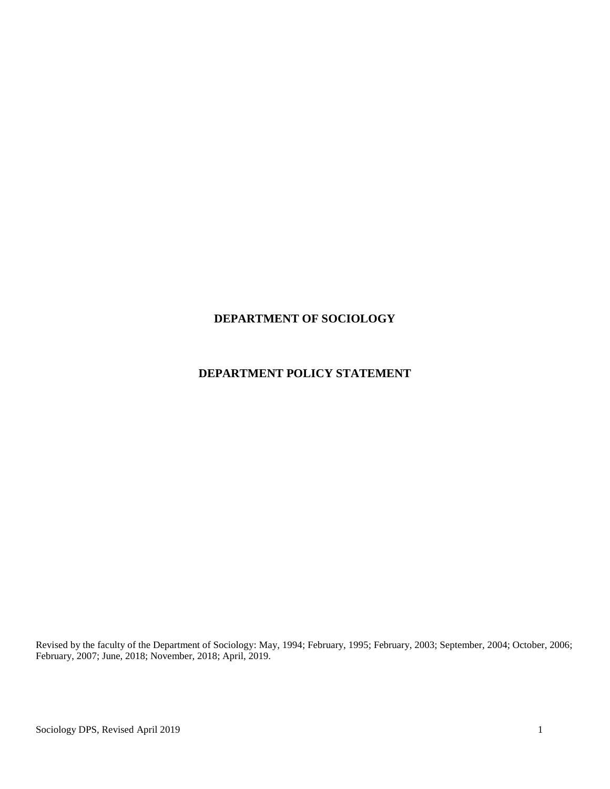## **DEPARTMENT OF SOCIOLOGY**

# **DEPARTMENT POLICY STATEMENT**

Revised by the faculty of the Department of Sociology: May, 1994; February, 1995; February, 2003; September, 2004; October, 2006; February, 2007; June, 2018; November, 2018; April, 2019.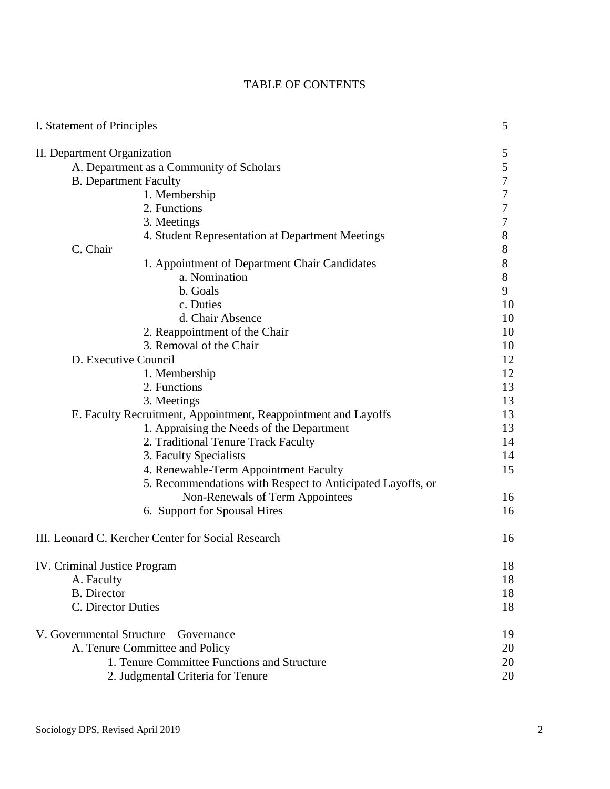| I. Statement of Principles                                     | 5                |
|----------------------------------------------------------------|------------------|
| II. Department Organization                                    | 5                |
| A. Department as a Community of Scholars                       | 5                |
| <b>B.</b> Department Faculty                                   | $\boldsymbol{7}$ |
| 1. Membership                                                  | 7                |
| 2. Functions                                                   | 7                |
| 3. Meetings                                                    | $\tau$           |
| 4. Student Representation at Department Meetings               | $8\,$            |
| C. Chair                                                       | $8\,$            |
| 1. Appointment of Department Chair Candidates                  | $8\,$            |
| a. Nomination                                                  | $8\,$            |
| b. Goals                                                       | 9                |
| c. Duties                                                      | 10               |
| d. Chair Absence                                               | 10               |
| 2. Reappointment of the Chair                                  | 10               |
| 3. Removal of the Chair                                        | 10               |
| D. Executive Council                                           | 12               |
| 1. Membership                                                  | 12               |
| 2. Functions                                                   | 13               |
| 3. Meetings                                                    | 13               |
| E. Faculty Recruitment, Appointment, Reappointment and Layoffs | 13               |
| 1. Appraising the Needs of the Department                      | 13               |
| 2. Traditional Tenure Track Faculty                            | 14               |
| 3. Faculty Specialists                                         | 14               |
| 4. Renewable-Term Appointment Faculty                          | 15               |
| 5. Recommendations with Respect to Anticipated Layoffs, or     |                  |
| Non-Renewals of Term Appointees                                | 16               |
| 6. Support for Spousal Hires                                   | 16               |
| III. Leonard C. Kercher Center for Social Research             | 16               |
| <b>IV.</b> Criminal Justice Program                            | 18               |
| A. Faculty                                                     | 18               |
| <b>B.</b> Director                                             | 18               |
| C. Director Duties                                             | 18               |
| V. Governmental Structure - Governance                         | 19               |
| A. Tenure Committee and Policy                                 | 20               |
| 1. Tenure Committee Functions and Structure                    | 20               |
| 2. Judgmental Criteria for Tenure                              | 20               |

# TABLE OF CONTENTS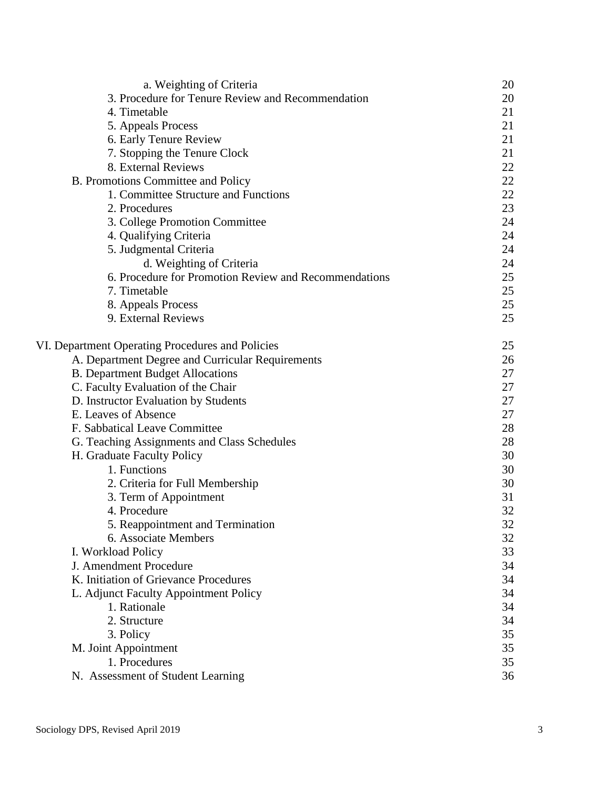| a. Weighting of Criteria                              | 20 |
|-------------------------------------------------------|----|
| 3. Procedure for Tenure Review and Recommendation     | 20 |
| 4. Timetable                                          | 21 |
| 5. Appeals Process                                    | 21 |
| 6. Early Tenure Review                                | 21 |
| 7. Stopping the Tenure Clock                          | 21 |
| 8. External Reviews                                   | 22 |
| B. Promotions Committee and Policy                    | 22 |
| 1. Committee Structure and Functions                  | 22 |
| 2. Procedures                                         | 23 |
| 3. College Promotion Committee                        | 24 |
| 4. Qualifying Criteria                                | 24 |
| 5. Judgmental Criteria                                | 24 |
| d. Weighting of Criteria                              | 24 |
| 6. Procedure for Promotion Review and Recommendations | 25 |
| 7. Timetable                                          | 25 |
| 8. Appeals Process                                    | 25 |
| 9. External Reviews                                   | 25 |
| VI. Department Operating Procedures and Policies      | 25 |
| A. Department Degree and Curricular Requirements      | 26 |
| <b>B.</b> Department Budget Allocations               | 27 |
| C. Faculty Evaluation of the Chair                    | 27 |
| D. Instructor Evaluation by Students                  | 27 |
| E. Leaves of Absence                                  | 27 |
| F. Sabbatical Leave Committee                         | 28 |
| G. Teaching Assignments and Class Schedules           | 28 |
| H. Graduate Faculty Policy                            | 30 |
| 1. Functions                                          | 30 |
| 2. Criteria for Full Membership                       | 30 |
| 3. Term of Appointment                                | 31 |
| 4. Procedure                                          | 32 |
| 5. Reappointment and Termination                      | 32 |
| 6. Associate Members                                  | 32 |
| I. Workload Policy                                    | 33 |
| J. Amendment Procedure                                | 34 |
| K. Initiation of Grievance Procedures                 | 34 |
| L. Adjunct Faculty Appointment Policy                 | 34 |
| 1. Rationale                                          | 34 |
| 2. Structure                                          | 34 |
| 3. Policy                                             | 35 |
| M. Joint Appointment                                  | 35 |
| 1. Procedures                                         | 35 |
| N. Assessment of Student Learning                     | 36 |
|                                                       |    |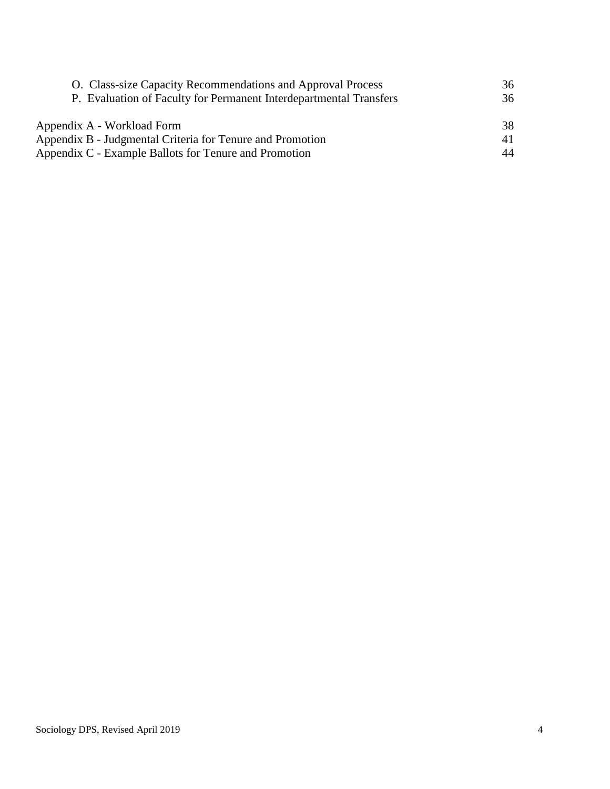| O. Class-size Capacity Recommendations and Approval Process        | 36 |
|--------------------------------------------------------------------|----|
| P. Evaluation of Faculty for Permanent Interdepartmental Transfers |    |
| Appendix A - Workload Form                                         | 38 |
| Appendix B - Judgmental Criteria for Tenure and Promotion          | 41 |
| Appendix C - Example Ballots for Tenure and Promotion              | 44 |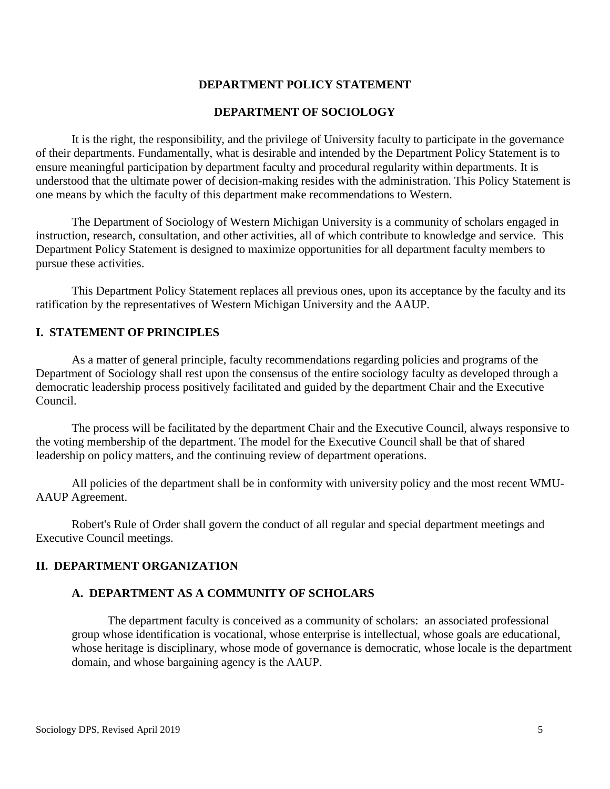## **DEPARTMENT POLICY STATEMENT**

## **DEPARTMENT OF SOCIOLOGY**

It is the right, the responsibility, and the privilege of University faculty to participate in the governance of their departments. Fundamentally, what is desirable and intended by the Department Policy Statement is to ensure meaningful participation by department faculty and procedural regularity within departments. It is understood that the ultimate power of decision-making resides with the administration. This Policy Statement is one means by which the faculty of this department make recommendations to Western.

The Department of Sociology of Western Michigan University is a community of scholars engaged in instruction, research, consultation, and other activities, all of which contribute to knowledge and service. This Department Policy Statement is designed to maximize opportunities for all department faculty members to pursue these activities.

This Department Policy Statement replaces all previous ones, upon its acceptance by the faculty and its ratification by the representatives of Western Michigan University and the AAUP.

### **I. STATEMENT OF PRINCIPLES**

As a matter of general principle, faculty recommendations regarding policies and programs of the Department of Sociology shall rest upon the consensus of the entire sociology faculty as developed through a democratic leadership process positively facilitated and guided by the department Chair and the Executive Council.

The process will be facilitated by the department Chair and the Executive Council, always responsive to the voting membership of the department. The model for the Executive Council shall be that of shared leadership on policy matters, and the continuing review of department operations.

All policies of the department shall be in conformity with university policy and the most recent WMU-AAUP Agreement.

Robert's Rule of Order shall govern the conduct of all regular and special department meetings and Executive Council meetings.

### **II. DEPARTMENT ORGANIZATION**

## **A. DEPARTMENT AS A COMMUNITY OF SCHOLARS**

The department faculty is conceived as a community of scholars: an associated professional group whose identification is vocational, whose enterprise is intellectual, whose goals are educational, whose heritage is disciplinary, whose mode of governance is democratic, whose locale is the department domain, and whose bargaining agency is the AAUP.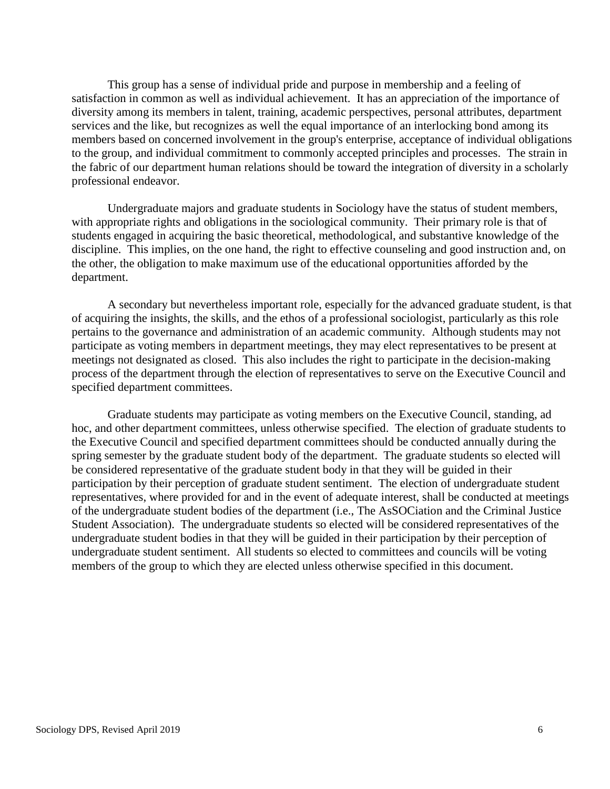This group has a sense of individual pride and purpose in membership and a feeling of satisfaction in common as well as individual achievement. It has an appreciation of the importance of diversity among its members in talent, training, academic perspectives, personal attributes, department services and the like, but recognizes as well the equal importance of an interlocking bond among its members based on concerned involvement in the group's enterprise, acceptance of individual obligations to the group, and individual commitment to commonly accepted principles and processes. The strain in the fabric of our department human relations should be toward the integration of diversity in a scholarly professional endeavor.

Undergraduate majors and graduate students in Sociology have the status of student members, with appropriate rights and obligations in the sociological community. Their primary role is that of students engaged in acquiring the basic theoretical, methodological, and substantive knowledge of the discipline. This implies, on the one hand, the right to effective counseling and good instruction and, on the other, the obligation to make maximum use of the educational opportunities afforded by the department.

A secondary but nevertheless important role, especially for the advanced graduate student, is that of acquiring the insights, the skills, and the ethos of a professional sociologist, particularly as this role pertains to the governance and administration of an academic community. Although students may not participate as voting members in department meetings, they may elect representatives to be present at meetings not designated as closed. This also includes the right to participate in the decision-making process of the department through the election of representatives to serve on the Executive Council and specified department committees.

Graduate students may participate as voting members on the Executive Council, standing, ad hoc, and other department committees, unless otherwise specified. The election of graduate students to the Executive Council and specified department committees should be conducted annually during the spring semester by the graduate student body of the department. The graduate students so elected will be considered representative of the graduate student body in that they will be guided in their participation by their perception of graduate student sentiment. The election of undergraduate student representatives, where provided for and in the event of adequate interest, shall be conducted at meetings of the undergraduate student bodies of the department (i.e., The AsSOCiation and the Criminal Justice Student Association). The undergraduate students so elected will be considered representatives of the undergraduate student bodies in that they will be guided in their participation by their perception of undergraduate student sentiment. All students so elected to committees and councils will be voting members of the group to which they are elected unless otherwise specified in this document.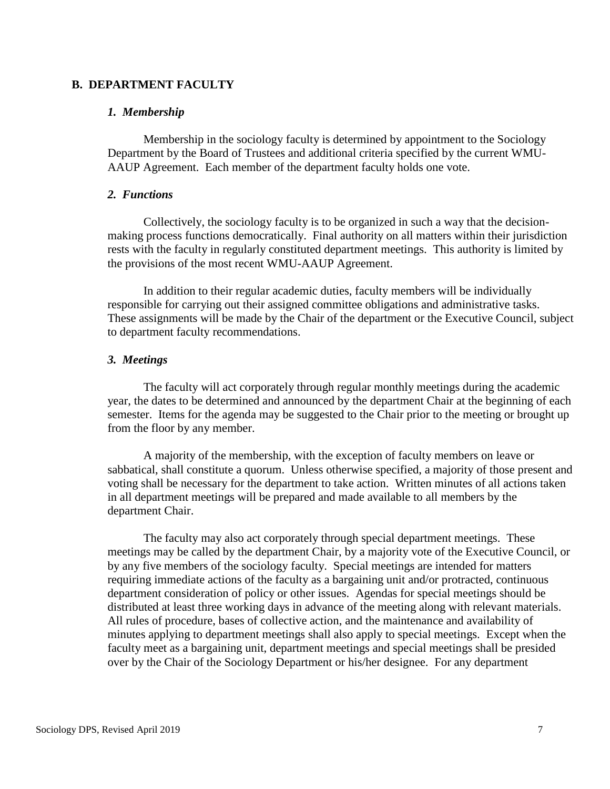### **B. DEPARTMENT FACULTY**

#### *1. Membership*

Membership in the sociology faculty is determined by appointment to the Sociology Department by the Board of Trustees and additional criteria specified by the current WMU-AAUP Agreement. Each member of the department faculty holds one vote.

### *2. Functions*

Collectively, the sociology faculty is to be organized in such a way that the decisionmaking process functions democratically. Final authority on all matters within their jurisdiction rests with the faculty in regularly constituted department meetings. This authority is limited by the provisions of the most recent WMU-AAUP Agreement.

In addition to their regular academic duties, faculty members will be individually responsible for carrying out their assigned committee obligations and administrative tasks. These assignments will be made by the Chair of the department or the Executive Council, subject to department faculty recommendations.

#### *3. Meetings*

The faculty will act corporately through regular monthly meetings during the academic year, the dates to be determined and announced by the department Chair at the beginning of each semester. Items for the agenda may be suggested to the Chair prior to the meeting or brought up from the floor by any member.

A majority of the membership, with the exception of faculty members on leave or sabbatical, shall constitute a quorum. Unless otherwise specified, a majority of those present and voting shall be necessary for the department to take action. Written minutes of all actions taken in all department meetings will be prepared and made available to all members by the department Chair.

The faculty may also act corporately through special department meetings. These meetings may be called by the department Chair, by a majority vote of the Executive Council, or by any five members of the sociology faculty. Special meetings are intended for matters requiring immediate actions of the faculty as a bargaining unit and/or protracted, continuous department consideration of policy or other issues. Agendas for special meetings should be distributed at least three working days in advance of the meeting along with relevant materials. All rules of procedure, bases of collective action, and the maintenance and availability of minutes applying to department meetings shall also apply to special meetings. Except when the faculty meet as a bargaining unit, department meetings and special meetings shall be presided over by the Chair of the Sociology Department or his/her designee. For any department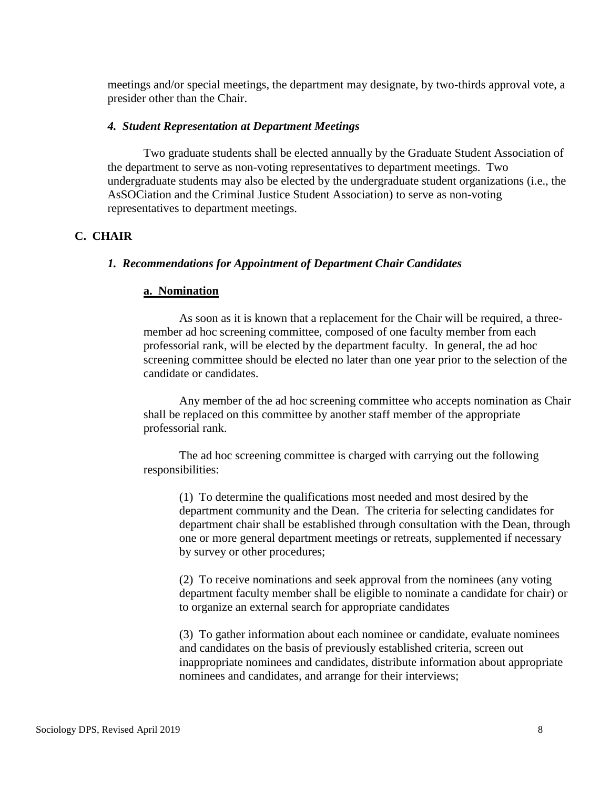meetings and/or special meetings, the department may designate, by two-thirds approval vote, a presider other than the Chair.

#### *4. Student Representation at Department Meetings*

Two graduate students shall be elected annually by the Graduate Student Association of the department to serve as non-voting representatives to department meetings. Two undergraduate students may also be elected by the undergraduate student organizations (i.e., the AsSOCiation and the Criminal Justice Student Association) to serve as non-voting representatives to department meetings.

## **C. CHAIR**

#### *1. Recommendations for Appointment of Department Chair Candidates*

#### **a. Nomination**

As soon as it is known that a replacement for the Chair will be required, a threemember ad hoc screening committee, composed of one faculty member from each professorial rank, will be elected by the department faculty. In general, the ad hoc screening committee should be elected no later than one year prior to the selection of the candidate or candidates.

Any member of the ad hoc screening committee who accepts nomination as Chair shall be replaced on this committee by another staff member of the appropriate professorial rank.

The ad hoc screening committee is charged with carrying out the following responsibilities:

(1) To determine the qualifications most needed and most desired by the department community and the Dean. The criteria for selecting candidates for department chair shall be established through consultation with the Dean, through one or more general department meetings or retreats, supplemented if necessary by survey or other procedures;

(2) To receive nominations and seek approval from the nominees (any voting department faculty member shall be eligible to nominate a candidate for chair) or to organize an external search for appropriate candidates

(3) To gather information about each nominee or candidate, evaluate nominees and candidates on the basis of previously established criteria, screen out inappropriate nominees and candidates, distribute information about appropriate nominees and candidates, and arrange for their interviews;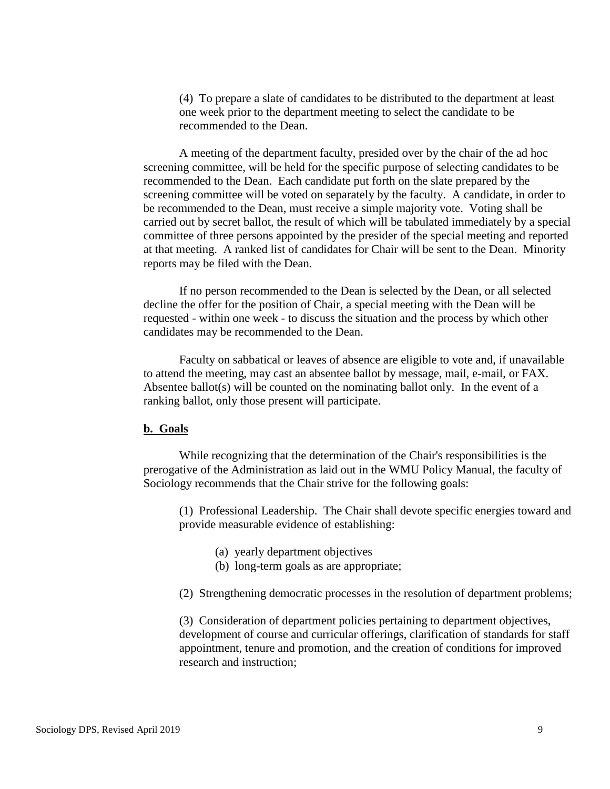(4) To prepare a slate of candidates to be distributed to the department at least one week prior to the department meeting to select the candidate to be recommended to the Dean.

A meeting of the department faculty, presided over by the chair of the ad hoc screening committee, will be held for the specific purpose of selecting candidates to be recommended to the Dean. Each candidate put forth on the slate prepared by the screening committee will be voted on separately by the faculty. A candidate, in order to be recommended to the Dean, must receive a simple majority vote. Voting shall be carried out by secret ballot, the result of which will be tabulated immediately by a special committee of three persons appointed by the presider of the special meeting and reported at that meeting. A ranked list of candidates for Chair will be sent to the Dean. Minority reports may be filed with the Dean.

If no person recommended to the Dean is selected by the Dean, or all selected decline the offer for the position of Chair, a special meeting with the Dean will be requested - within one week - to discuss the situation and the process by which other candidates may be recommended to the Dean.

Faculty on sabbatical or leaves of absence are eligible to vote and, if unavailable to attend the meeting, may cast an absentee ballot by message, mail, e-mail, or FAX. Absentee ballot(s) will be counted on the nominating ballot only. In the event of a ranking ballot, only those present will participate.

#### **b. Goals**

While recognizing that the determination of the Chair's responsibilities is the prerogative of the Administration as laid out in the WMU Policy Manual, the faculty of Sociology recommends that the Chair strive for the following goals:

(1) Professional Leadership. The Chair shall devote specific energies toward and provide measurable evidence of establishing:

- (a) yearly department objectives
- (b) long-term goals as are appropriate;
- (2) Strengthening democratic processes in the resolution of department problems;

(3) Consideration of department policies pertaining to department objectives, development of course and curricular offerings, clarification of standards for staff appointment, tenure and promotion, and the creation of conditions for improved research and instruction;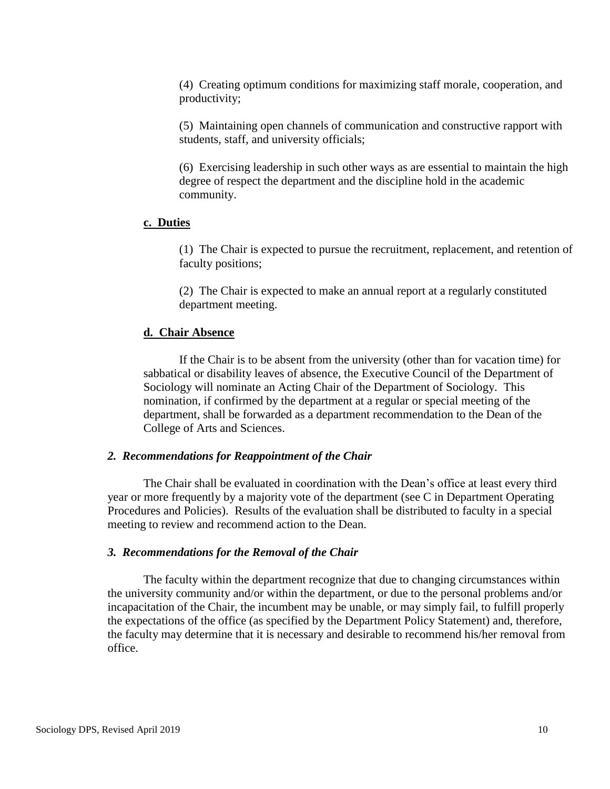(4) Creating optimum conditions for maximizing staff morale, cooperation, and productivity;

(5) Maintaining open channels of communication and constructive rapport with students, staff, and university officials;

(6) Exercising leadership in such other ways as are essential to maintain the high degree of respect the department and the discipline hold in the academic community.

#### **c. Duties**

(1) The Chair is expected to pursue the recruitment, replacement, and retention of faculty positions;

(2) The Chair is expected to make an annual report at a regularly constituted department meeting.

#### **d. Chair Absence**

If the Chair is to be absent from the university (other than for vacation time) for sabbatical or disability leaves of absence, the Executive Council of the Department of Sociology will nominate an Acting Chair of the Department of Sociology. This nomination, if confirmed by the department at a regular or special meeting of the department, shall be forwarded as a department recommendation to the Dean of the College of Arts and Sciences.

#### *2. Recommendations for Reappointment of the Chair*

The Chair shall be evaluated in coordination with the Dean's office at least every third year or more frequently by a majority vote of the department (see C in Department Operating Procedures and Policies). Results of the evaluation shall be distributed to faculty in a special meeting to review and recommend action to the Dean.

#### *3. Recommendations for the Removal of the Chair*

The faculty within the department recognize that due to changing circumstances within the university community and/or within the department, or due to the personal problems and/or incapacitation of the Chair, the incumbent may be unable, or may simply fail, to fulfill properly the expectations of the office (as specified by the Department Policy Statement) and, therefore, the faculty may determine that it is necessary and desirable to recommend his/her removal from office.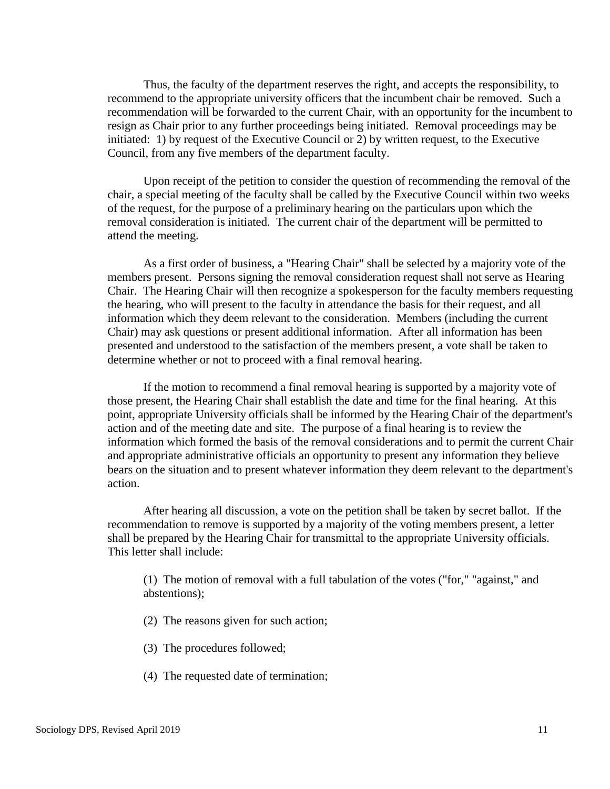Thus, the faculty of the department reserves the right, and accepts the responsibility, to recommend to the appropriate university officers that the incumbent chair be removed. Such a recommendation will be forwarded to the current Chair, with an opportunity for the incumbent to resign as Chair prior to any further proceedings being initiated. Removal proceedings may be initiated: 1) by request of the Executive Council or 2) by written request, to the Executive Council, from any five members of the department faculty.

Upon receipt of the petition to consider the question of recommending the removal of the chair, a special meeting of the faculty shall be called by the Executive Council within two weeks of the request, for the purpose of a preliminary hearing on the particulars upon which the removal consideration is initiated. The current chair of the department will be permitted to attend the meeting.

As a first order of business, a "Hearing Chair" shall be selected by a majority vote of the members present. Persons signing the removal consideration request shall not serve as Hearing Chair. The Hearing Chair will then recognize a spokesperson for the faculty members requesting the hearing, who will present to the faculty in attendance the basis for their request, and all information which they deem relevant to the consideration. Members (including the current Chair) may ask questions or present additional information. After all information has been presented and understood to the satisfaction of the members present, a vote shall be taken to determine whether or not to proceed with a final removal hearing.

If the motion to recommend a final removal hearing is supported by a majority vote of those present, the Hearing Chair shall establish the date and time for the final hearing. At this point, appropriate University officials shall be informed by the Hearing Chair of the department's action and of the meeting date and site. The purpose of a final hearing is to review the information which formed the basis of the removal considerations and to permit the current Chair and appropriate administrative officials an opportunity to present any information they believe bears on the situation and to present whatever information they deem relevant to the department's action.

After hearing all discussion, a vote on the petition shall be taken by secret ballot. If the recommendation to remove is supported by a majority of the voting members present, a letter shall be prepared by the Hearing Chair for transmittal to the appropriate University officials. This letter shall include:

(1) The motion of removal with a full tabulation of the votes ("for," "against," and abstentions);

- (2) The reasons given for such action;
- (3) The procedures followed;
- (4) The requested date of termination;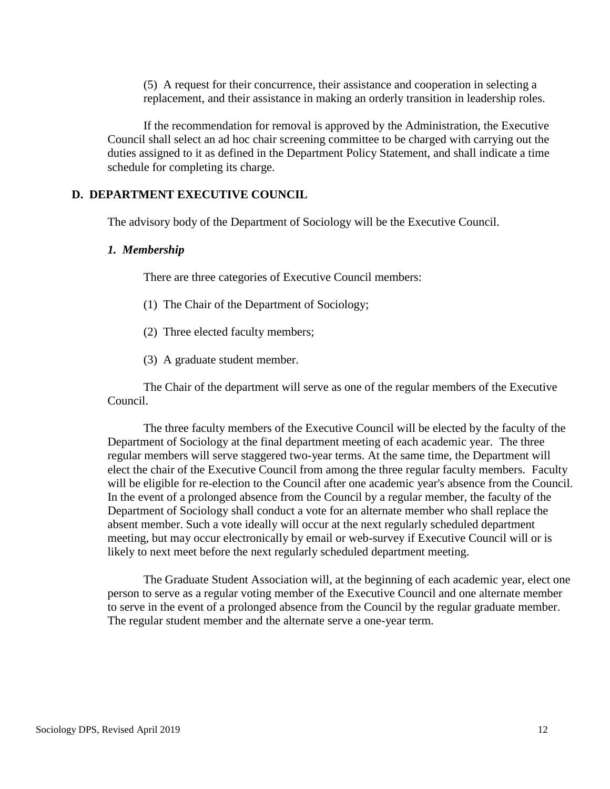(5) A request for their concurrence, their assistance and cooperation in selecting a replacement, and their assistance in making an orderly transition in leadership roles.

If the recommendation for removal is approved by the Administration, the Executive Council shall select an ad hoc chair screening committee to be charged with carrying out the duties assigned to it as defined in the Department Policy Statement, and shall indicate a time schedule for completing its charge.

### **D. DEPARTMENT EXECUTIVE COUNCIL**

The advisory body of the Department of Sociology will be the Executive Council.

#### *1. Membership*

There are three categories of Executive Council members:

- (1) The Chair of the Department of Sociology;
- (2) Three elected faculty members;
- (3) A graduate student member.

The Chair of the department will serve as one of the regular members of the Executive Council.

The three faculty members of the Executive Council will be elected by the faculty of the Department of Sociology at the final department meeting of each academic year. The three regular members will serve staggered two-year terms. At the same time, the Department will elect the chair of the Executive Council from among the three regular faculty members. Faculty will be eligible for re-election to the Council after one academic year's absence from the Council. In the event of a prolonged absence from the Council by a regular member, the faculty of the Department of Sociology shall conduct a vote for an alternate member who shall replace the absent member. Such a vote ideally will occur at the next regularly scheduled department meeting, but may occur electronically by email or web-survey if Executive Council will or is likely to next meet before the next regularly scheduled department meeting.

The Graduate Student Association will, at the beginning of each academic year, elect one person to serve as a regular voting member of the Executive Council and one alternate member to serve in the event of a prolonged absence from the Council by the regular graduate member. The regular student member and the alternate serve a one-year term.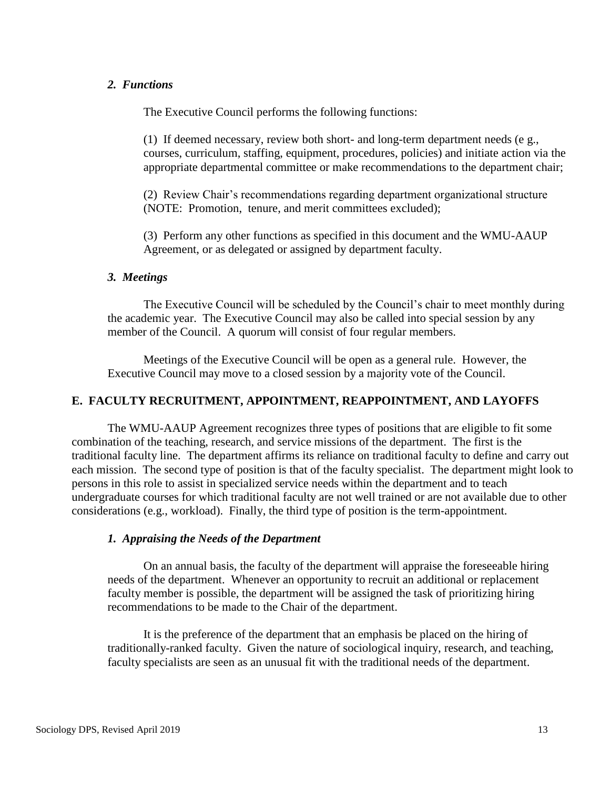## *2. Functions*

The Executive Council performs the following functions:

(1) If deemed necessary, review both short- and long-term department needs (e g., courses, curriculum, staffing, equipment, procedures, policies) and initiate action via the appropriate departmental committee or make recommendations to the department chair;

(2) Review Chair's recommendations regarding department organizational structure (NOTE: Promotion, tenure, and merit committees excluded);

(3) Perform any other functions as specified in this document and the WMU-AAUP Agreement, or as delegated or assigned by department faculty.

#### *3. Meetings*

The Executive Council will be scheduled by the Council's chair to meet monthly during the academic year. The Executive Council may also be called into special session by any member of the Council. A quorum will consist of four regular members.

Meetings of the Executive Council will be open as a general rule. However, the Executive Council may move to a closed session by a majority vote of the Council.

### **E. FACULTY RECRUITMENT, APPOINTMENT, REAPPOINTMENT, AND LAYOFFS**

The WMU-AAUP Agreement recognizes three types of positions that are eligible to fit some combination of the teaching, research, and service missions of the department. The first is the traditional faculty line. The department affirms its reliance on traditional faculty to define and carry out each mission. The second type of position is that of the faculty specialist. The department might look to persons in this role to assist in specialized service needs within the department and to teach undergraduate courses for which traditional faculty are not well trained or are not available due to other considerations (e.g., workload). Finally, the third type of position is the term-appointment.

### *1. Appraising the Needs of the Department*

On an annual basis, the faculty of the department will appraise the foreseeable hiring needs of the department. Whenever an opportunity to recruit an additional or replacement faculty member is possible, the department will be assigned the task of prioritizing hiring recommendations to be made to the Chair of the department.

It is the preference of the department that an emphasis be placed on the hiring of traditionally-ranked faculty. Given the nature of sociological inquiry, research, and teaching, faculty specialists are seen as an unusual fit with the traditional needs of the department.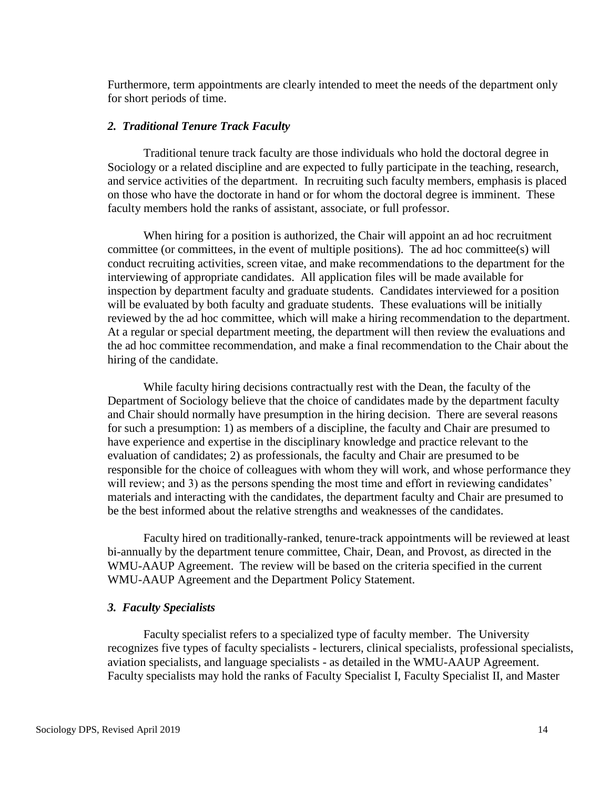Furthermore, term appointments are clearly intended to meet the needs of the department only for short periods of time.

#### *2. Traditional Tenure Track Faculty*

Traditional tenure track faculty are those individuals who hold the doctoral degree in Sociology or a related discipline and are expected to fully participate in the teaching, research, and service activities of the department. In recruiting such faculty members, emphasis is placed on those who have the doctorate in hand or for whom the doctoral degree is imminent. These faculty members hold the ranks of assistant, associate, or full professor.

When hiring for a position is authorized, the Chair will appoint an ad hoc recruitment committee (or committees, in the event of multiple positions). The ad hoc committee(s) will conduct recruiting activities, screen vitae, and make recommendations to the department for the interviewing of appropriate candidates. All application files will be made available for inspection by department faculty and graduate students. Candidates interviewed for a position will be evaluated by both faculty and graduate students. These evaluations will be initially reviewed by the ad hoc committee, which will make a hiring recommendation to the department. At a regular or special department meeting, the department will then review the evaluations and the ad hoc committee recommendation, and make a final recommendation to the Chair about the hiring of the candidate.

While faculty hiring decisions contractually rest with the Dean, the faculty of the Department of Sociology believe that the choice of candidates made by the department faculty and Chair should normally have presumption in the hiring decision. There are several reasons for such a presumption: 1) as members of a discipline, the faculty and Chair are presumed to have experience and expertise in the disciplinary knowledge and practice relevant to the evaluation of candidates; 2) as professionals, the faculty and Chair are presumed to be responsible for the choice of colleagues with whom they will work, and whose performance they will review; and 3) as the persons spending the most time and effort in reviewing candidates' materials and interacting with the candidates, the department faculty and Chair are presumed to be the best informed about the relative strengths and weaknesses of the candidates.

Faculty hired on traditionally-ranked, tenure-track appointments will be reviewed at least bi-annually by the department tenure committee, Chair, Dean, and Provost, as directed in the WMU-AAUP Agreement. The review will be based on the criteria specified in the current WMU-AAUP Agreement and the Department Policy Statement.

### *3. Faculty Specialists*

Faculty specialist refers to a specialized type of faculty member. The University recognizes five types of faculty specialists - lecturers, clinical specialists, professional specialists, aviation specialists, and language specialists - as detailed in the WMU-AAUP Agreement. Faculty specialists may hold the ranks of Faculty Specialist I, Faculty Specialist II, and Master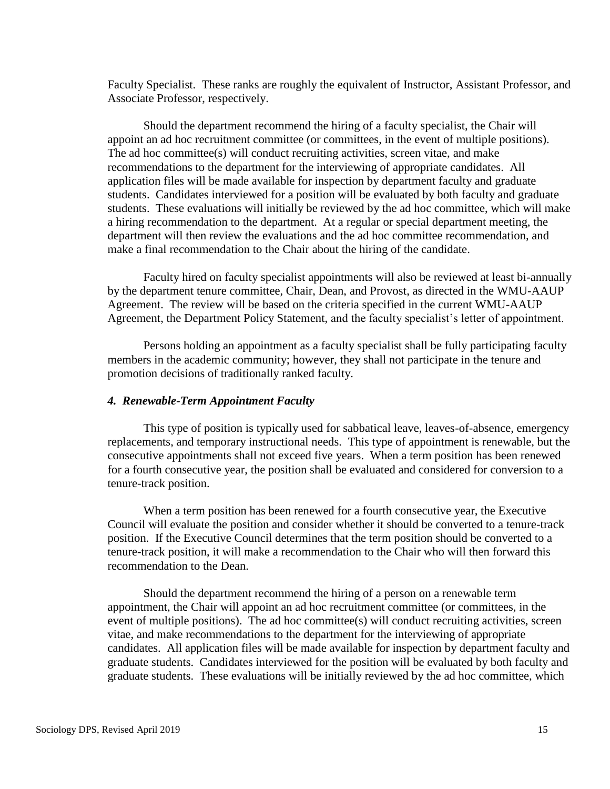Faculty Specialist. These ranks are roughly the equivalent of Instructor, Assistant Professor, and Associate Professor, respectively.

Should the department recommend the hiring of a faculty specialist, the Chair will appoint an ad hoc recruitment committee (or committees, in the event of multiple positions). The ad hoc committee(s) will conduct recruiting activities, screen vitae, and make recommendations to the department for the interviewing of appropriate candidates. All application files will be made available for inspection by department faculty and graduate students. Candidates interviewed for a position will be evaluated by both faculty and graduate students. These evaluations will initially be reviewed by the ad hoc committee, which will make a hiring recommendation to the department. At a regular or special department meeting, the department will then review the evaluations and the ad hoc committee recommendation, and make a final recommendation to the Chair about the hiring of the candidate.

Faculty hired on faculty specialist appointments will also be reviewed at least bi-annually by the department tenure committee, Chair, Dean, and Provost, as directed in the WMU-AAUP Agreement. The review will be based on the criteria specified in the current WMU-AAUP Agreement, the Department Policy Statement, and the faculty specialist's letter of appointment.

Persons holding an appointment as a faculty specialist shall be fully participating faculty members in the academic community; however, they shall not participate in the tenure and promotion decisions of traditionally ranked faculty.

#### *4. Renewable-Term Appointment Faculty*

This type of position is typically used for sabbatical leave, leaves-of-absence, emergency replacements, and temporary instructional needs. This type of appointment is renewable, but the consecutive appointments shall not exceed five years. When a term position has been renewed for a fourth consecutive year, the position shall be evaluated and considered for conversion to a tenure-track position.

When a term position has been renewed for a fourth consecutive year, the Executive Council will evaluate the position and consider whether it should be converted to a tenure-track position. If the Executive Council determines that the term position should be converted to a tenure-track position, it will make a recommendation to the Chair who will then forward this recommendation to the Dean.

Should the department recommend the hiring of a person on a renewable term appointment, the Chair will appoint an ad hoc recruitment committee (or committees, in the event of multiple positions). The ad hoc committee(s) will conduct recruiting activities, screen vitae, and make recommendations to the department for the interviewing of appropriate candidates. All application files will be made available for inspection by department faculty and graduate students. Candidates interviewed for the position will be evaluated by both faculty and graduate students. These evaluations will be initially reviewed by the ad hoc committee, which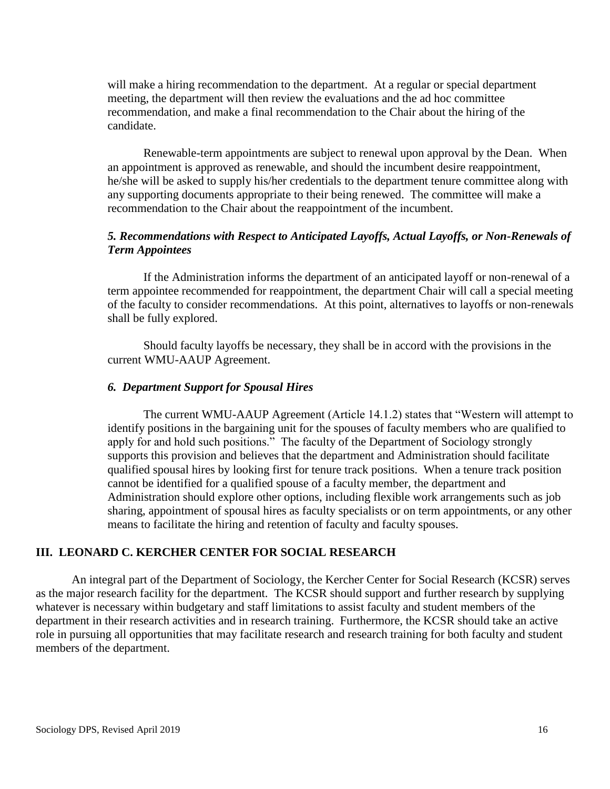will make a hiring recommendation to the department. At a regular or special department meeting, the department will then review the evaluations and the ad hoc committee recommendation, and make a final recommendation to the Chair about the hiring of the candidate.

Renewable-term appointments are subject to renewal upon approval by the Dean. When an appointment is approved as renewable, and should the incumbent desire reappointment, he/she will be asked to supply his/her credentials to the department tenure committee along with any supporting documents appropriate to their being renewed. The committee will make a recommendation to the Chair about the reappointment of the incumbent.

## *5. Recommendations with Respect to Anticipated Layoffs, Actual Layoffs, or Non-Renewals of Term Appointees*

If the Administration informs the department of an anticipated layoff or non-renewal of a term appointee recommended for reappointment, the department Chair will call a special meeting of the faculty to consider recommendations. At this point, alternatives to layoffs or non-renewals shall be fully explored.

Should faculty layoffs be necessary, they shall be in accord with the provisions in the current WMU-AAUP Agreement.

### *6. Department Support for Spousal Hires*

The current WMU-AAUP Agreement (Article 14.1.2) states that "Western will attempt to identify positions in the bargaining unit for the spouses of faculty members who are qualified to apply for and hold such positions." The faculty of the Department of Sociology strongly supports this provision and believes that the department and Administration should facilitate qualified spousal hires by looking first for tenure track positions. When a tenure track position cannot be identified for a qualified spouse of a faculty member, the department and Administration should explore other options, including flexible work arrangements such as job sharing, appointment of spousal hires as faculty specialists or on term appointments, or any other means to facilitate the hiring and retention of faculty and faculty spouses.

### **III. LEONARD C. KERCHER CENTER FOR SOCIAL RESEARCH**

An integral part of the Department of Sociology, the Kercher Center for Social Research (KCSR) serves as the major research facility for the department. The KCSR should support and further research by supplying whatever is necessary within budgetary and staff limitations to assist faculty and student members of the department in their research activities and in research training. Furthermore, the KCSR should take an active role in pursuing all opportunities that may facilitate research and research training for both faculty and student members of the department.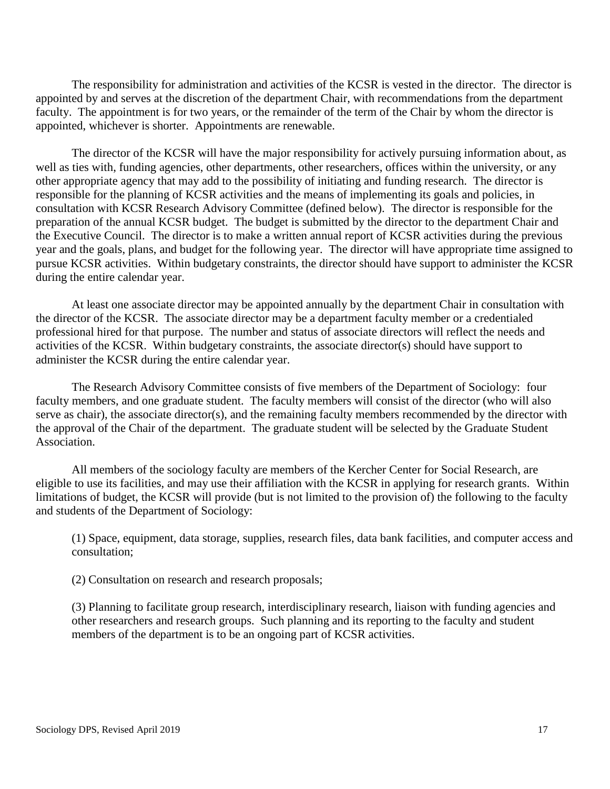The responsibility for administration and activities of the KCSR is vested in the director. The director is appointed by and serves at the discretion of the department Chair, with recommendations from the department faculty. The appointment is for two years, or the remainder of the term of the Chair by whom the director is appointed, whichever is shorter. Appointments are renewable.

The director of the KCSR will have the major responsibility for actively pursuing information about, as well as ties with, funding agencies, other departments, other researchers, offices within the university, or any other appropriate agency that may add to the possibility of initiating and funding research. The director is responsible for the planning of KCSR activities and the means of implementing its goals and policies, in consultation with KCSR Research Advisory Committee (defined below). The director is responsible for the preparation of the annual KCSR budget. The budget is submitted by the director to the department Chair and the Executive Council. The director is to make a written annual report of KCSR activities during the previous year and the goals, plans, and budget for the following year. The director will have appropriate time assigned to pursue KCSR activities. Within budgetary constraints, the director should have support to administer the KCSR during the entire calendar year.

At least one associate director may be appointed annually by the department Chair in consultation with the director of the KCSR. The associate director may be a department faculty member or a credentialed professional hired for that purpose. The number and status of associate directors will reflect the needs and activities of the KCSR. Within budgetary constraints, the associate director(s) should have support to administer the KCSR during the entire calendar year.

The Research Advisory Committee consists of five members of the Department of Sociology: four faculty members, and one graduate student. The faculty members will consist of the director (who will also serve as chair), the associate director(s), and the remaining faculty members recommended by the director with the approval of the Chair of the department. The graduate student will be selected by the Graduate Student Association.

All members of the sociology faculty are members of the Kercher Center for Social Research, are eligible to use its facilities, and may use their affiliation with the KCSR in applying for research grants. Within limitations of budget, the KCSR will provide (but is not limited to the provision of) the following to the faculty and students of the Department of Sociology:

(1) Space, equipment, data storage, supplies, research files, data bank facilities, and computer access and consultation;

(2) Consultation on research and research proposals;

(3) Planning to facilitate group research, interdisciplinary research, liaison with funding agencies and other researchers and research groups. Such planning and its reporting to the faculty and student members of the department is to be an ongoing part of KCSR activities.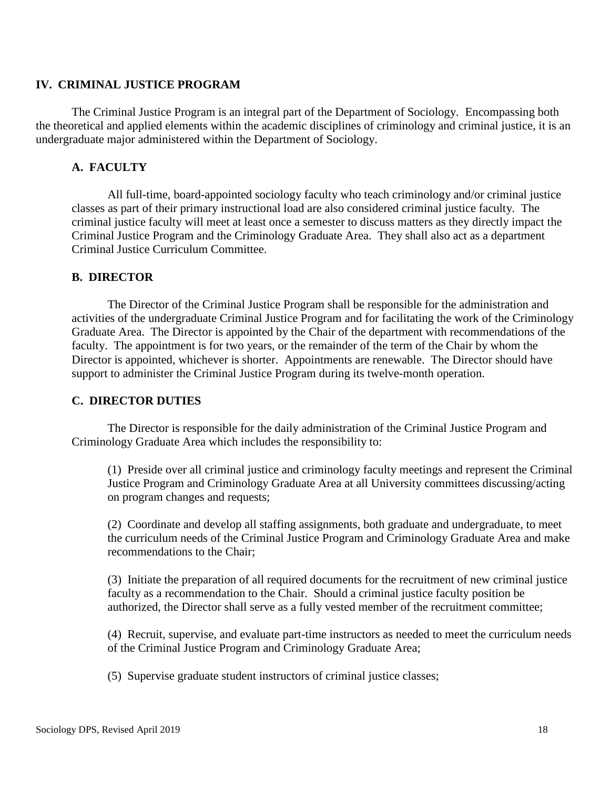## **IV. CRIMINAL JUSTICE PROGRAM**

The Criminal Justice Program is an integral part of the Department of Sociology. Encompassing both the theoretical and applied elements within the academic disciplines of criminology and criminal justice, it is an undergraduate major administered within the Department of Sociology.

## **A. FACULTY**

All full-time, board-appointed sociology faculty who teach criminology and/or criminal justice classes as part of their primary instructional load are also considered criminal justice faculty. The criminal justice faculty will meet at least once a semester to discuss matters as they directly impact the Criminal Justice Program and the Criminology Graduate Area. They shall also act as a department Criminal Justice Curriculum Committee.

## **B. DIRECTOR**

The Director of the Criminal Justice Program shall be responsible for the administration and activities of the undergraduate Criminal Justice Program and for facilitating the work of the Criminology Graduate Area. The Director is appointed by the Chair of the department with recommendations of the faculty. The appointment is for two years, or the remainder of the term of the Chair by whom the Director is appointed, whichever is shorter. Appointments are renewable. The Director should have support to administer the Criminal Justice Program during its twelve-month operation.

## **C. DIRECTOR DUTIES**

The Director is responsible for the daily administration of the Criminal Justice Program and Criminology Graduate Area which includes the responsibility to:

(1) Preside over all criminal justice and criminology faculty meetings and represent the Criminal Justice Program and Criminology Graduate Area at all University committees discussing/acting on program changes and requests;

(2) Coordinate and develop all staffing assignments, both graduate and undergraduate, to meet the curriculum needs of the Criminal Justice Program and Criminology Graduate Area and make recommendations to the Chair;

(3) Initiate the preparation of all required documents for the recruitment of new criminal justice faculty as a recommendation to the Chair. Should a criminal justice faculty position be authorized, the Director shall serve as a fully vested member of the recruitment committee;

(4) Recruit, supervise, and evaluate part-time instructors as needed to meet the curriculum needs of the Criminal Justice Program and Criminology Graduate Area;

(5) Supervise graduate student instructors of criminal justice classes;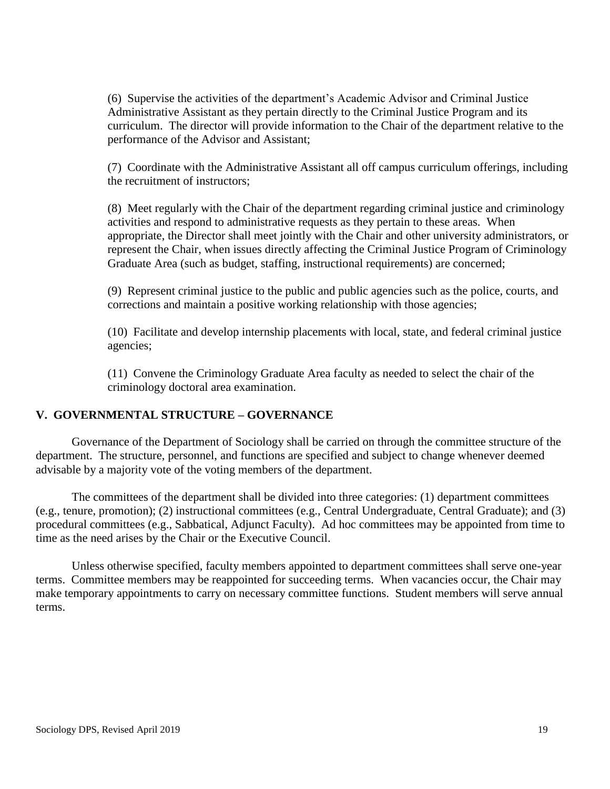(6) Supervise the activities of the department's Academic Advisor and Criminal Justice Administrative Assistant as they pertain directly to the Criminal Justice Program and its curriculum. The director will provide information to the Chair of the department relative to the performance of the Advisor and Assistant;

(7) Coordinate with the Administrative Assistant all off campus curriculum offerings, including the recruitment of instructors;

(8) Meet regularly with the Chair of the department regarding criminal justice and criminology activities and respond to administrative requests as they pertain to these areas. When appropriate, the Director shall meet jointly with the Chair and other university administrators, or represent the Chair, when issues directly affecting the Criminal Justice Program of Criminology Graduate Area (such as budget, staffing, instructional requirements) are concerned;

(9) Represent criminal justice to the public and public agencies such as the police, courts, and corrections and maintain a positive working relationship with those agencies;

(10) Facilitate and develop internship placements with local, state, and federal criminal justice agencies;

(11) Convene the Criminology Graduate Area faculty as needed to select the chair of the criminology doctoral area examination.

## **V. GOVERNMENTAL STRUCTURE – GOVERNANCE**

Governance of the Department of Sociology shall be carried on through the committee structure of the department. The structure, personnel, and functions are specified and subject to change whenever deemed advisable by a majority vote of the voting members of the department.

The committees of the department shall be divided into three categories: (1) department committees (e.g., tenure, promotion); (2) instructional committees (e.g., Central Undergraduate, Central Graduate); and (3) procedural committees (e.g., Sabbatical, Adjunct Faculty). Ad hoc committees may be appointed from time to time as the need arises by the Chair or the Executive Council.

Unless otherwise specified, faculty members appointed to department committees shall serve one-year terms. Committee members may be reappointed for succeeding terms. When vacancies occur, the Chair may make temporary appointments to carry on necessary committee functions. Student members will serve annual terms.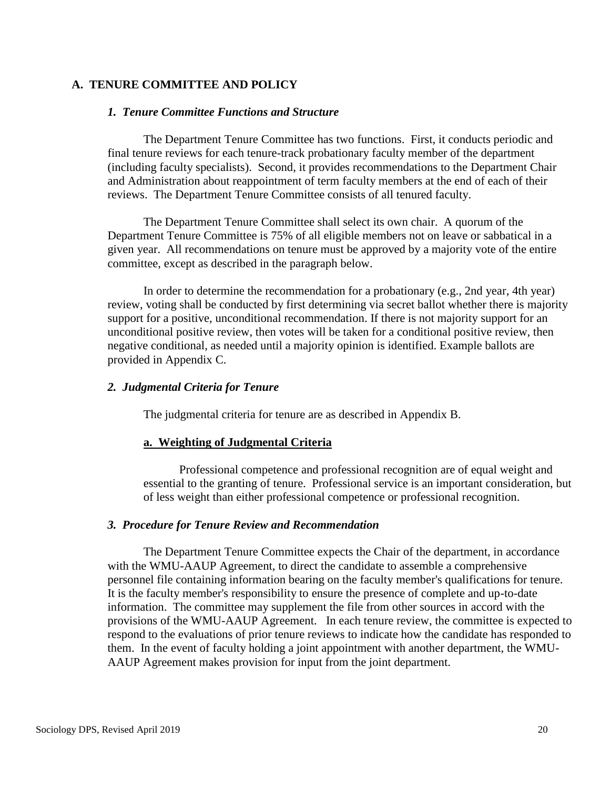## **A. TENURE COMMITTEE AND POLICY**

#### *1. Tenure Committee Functions and Structure*

The Department Tenure Committee has two functions. First, it conducts periodic and final tenure reviews for each tenure-track probationary faculty member of the department (including faculty specialists). Second, it provides recommendations to the Department Chair and Administration about reappointment of term faculty members at the end of each of their reviews. The Department Tenure Committee consists of all tenured faculty.

The Department Tenure Committee shall select its own chair. A quorum of the Department Tenure Committee is 75% of all eligible members not on leave or sabbatical in a given year. All recommendations on tenure must be approved by a majority vote of the entire committee, except as described in the paragraph below.

In order to determine the recommendation for a probationary (e.g., 2nd year, 4th year) review, voting shall be conducted by first determining via secret ballot whether there is majority support for a positive, unconditional recommendation. If there is not majority support for an unconditional positive review, then votes will be taken for a conditional positive review, then negative conditional, as needed until a majority opinion is identified. Example ballots are provided in Appendix C.

#### *2. Judgmental Criteria for Tenure*

The judgmental criteria for tenure are as described in Appendix B.

#### **a. Weighting of Judgmental Criteria**

Professional competence and professional recognition are of equal weight and essential to the granting of tenure. Professional service is an important consideration, but of less weight than either professional competence or professional recognition.

#### *3. Procedure for Tenure Review and Recommendation*

The Department Tenure Committee expects the Chair of the department, in accordance with the WMU-AAUP Agreement, to direct the candidate to assemble a comprehensive personnel file containing information bearing on the faculty member's qualifications for tenure. It is the faculty member's responsibility to ensure the presence of complete and up-to-date information. The committee may supplement the file from other sources in accord with the provisions of the WMU-AAUP Agreement. In each tenure review, the committee is expected to respond to the evaluations of prior tenure reviews to indicate how the candidate has responded to them. In the event of faculty holding a joint appointment with another department, the WMU-AAUP Agreement makes provision for input from the joint department.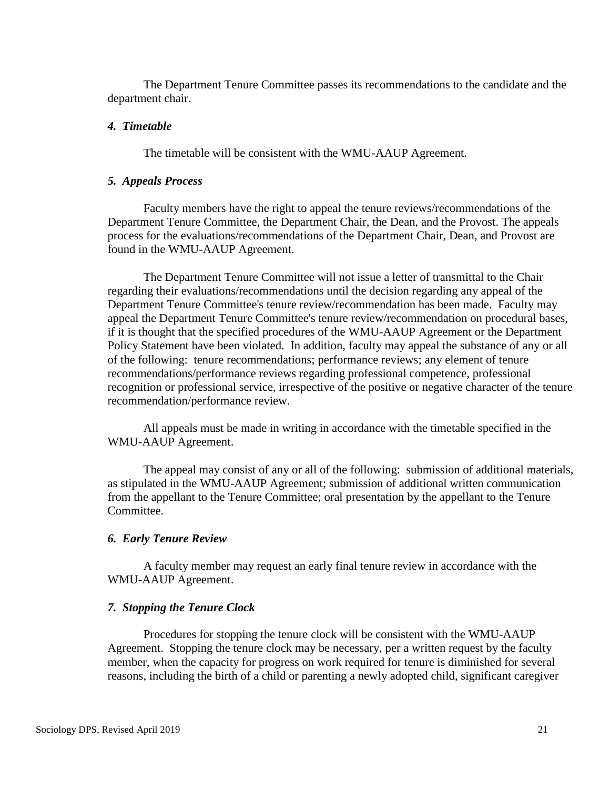The Department Tenure Committee passes its recommendations to the candidate and the department chair.

### *4. Timetable*

The timetable will be consistent with the WMU-AAUP Agreement.

#### *5. Appeals Process*

Faculty members have the right to appeal the tenure reviews/recommendations of the Department Tenure Committee, the Department Chair, the Dean, and the Provost. The appeals process for the evaluations/recommendations of the Department Chair, Dean, and Provost are found in the WMU-AAUP Agreement.

The Department Tenure Committee will not issue a letter of transmittal to the Chair regarding their evaluations/recommendations until the decision regarding any appeal of the Department Tenure Committee's tenure review/recommendation has been made. Faculty may appeal the Department Tenure Committee's tenure review/recommendation on procedural bases, if it is thought that the specified procedures of the WMU-AAUP Agreement or the Department Policy Statement have been violated. In addition, faculty may appeal the substance of any or all of the following: tenure recommendations; performance reviews; any element of tenure recommendations/performance reviews regarding professional competence, professional recognition or professional service, irrespective of the positive or negative character of the tenure recommendation/performance review.

All appeals must be made in writing in accordance with the timetable specified in the WMU-AAUP Agreement.

The appeal may consist of any or all of the following: submission of additional materials, as stipulated in the WMU-AAUP Agreement; submission of additional written communication from the appellant to the Tenure Committee; oral presentation by the appellant to the Tenure Committee.

#### *6. Early Tenure Review*

A faculty member may request an early final tenure review in accordance with the WMU-AAUP Agreement.

### *7. Stopping the Tenure Clock*

Procedures for stopping the tenure clock will be consistent with the WMU-AAUP Agreement. Stopping the tenure clock may be necessary, per a written request by the faculty member, when the capacity for progress on work required for tenure is diminished for several reasons, including the birth of a child or parenting a newly adopted child, significant caregiver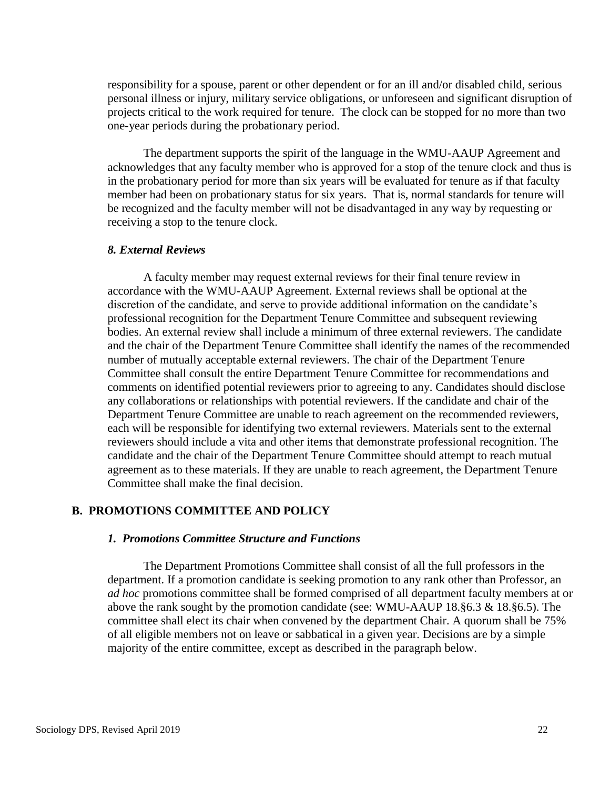responsibility for a spouse, parent or other dependent or for an ill and/or disabled child, serious personal illness or injury, military service obligations, or unforeseen and significant disruption of projects critical to the work required for tenure. The clock can be stopped for no more than two one-year periods during the probationary period.

The department supports the spirit of the language in the WMU-AAUP Agreement and acknowledges that any faculty member who is approved for a stop of the tenure clock and thus is in the probationary period for more than six years will be evaluated for tenure as if that faculty member had been on probationary status for six years. That is, normal standards for tenure will be recognized and the faculty member will not be disadvantaged in any way by requesting or receiving a stop to the tenure clock.

#### *8. External Reviews*

A faculty member may request external reviews for their final tenure review in accordance with the WMU-AAUP Agreement. External reviews shall be optional at the discretion of the candidate, and serve to provide additional information on the candidate's professional recognition for the Department Tenure Committee and subsequent reviewing bodies. An external review shall include a minimum of three external reviewers. The candidate and the chair of the Department Tenure Committee shall identify the names of the recommended number of mutually acceptable external reviewers. The chair of the Department Tenure Committee shall consult the entire Department Tenure Committee for recommendations and comments on identified potential reviewers prior to agreeing to any. Candidates should disclose any collaborations or relationships with potential reviewers. If the candidate and chair of the Department Tenure Committee are unable to reach agreement on the recommended reviewers, each will be responsible for identifying two external reviewers. Materials sent to the external reviewers should include a vita and other items that demonstrate professional recognition. The candidate and the chair of the Department Tenure Committee should attempt to reach mutual agreement as to these materials. If they are unable to reach agreement, the Department Tenure Committee shall make the final decision.

### **B. PROMOTIONS COMMITTEE AND POLICY**

#### *1. Promotions Committee Structure and Functions*

The Department Promotions Committee shall consist of all the full professors in the department. If a promotion candidate is seeking promotion to any rank other than Professor, an *ad hoc* promotions committee shall be formed comprised of all department faculty members at or above the rank sought by the promotion candidate (see: WMU-AAUP 18.§6.3 & 18.§6.5). The committee shall elect its chair when convened by the department Chair. A quorum shall be 75% of all eligible members not on leave or sabbatical in a given year. Decisions are by a simple majority of the entire committee, except as described in the paragraph below.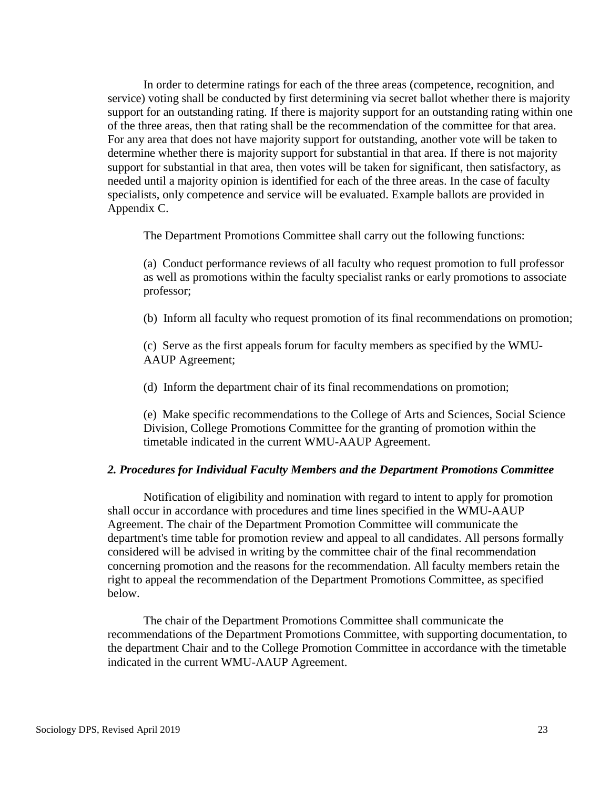In order to determine ratings for each of the three areas (competence, recognition, and service) voting shall be conducted by first determining via secret ballot whether there is majority support for an outstanding rating. If there is majority support for an outstanding rating within one of the three areas, then that rating shall be the recommendation of the committee for that area. For any area that does not have majority support for outstanding, another vote will be taken to determine whether there is majority support for substantial in that area. If there is not majority support for substantial in that area, then votes will be taken for significant, then satisfactory, as needed until a majority opinion is identified for each of the three areas. In the case of faculty specialists, only competence and service will be evaluated. Example ballots are provided in Appendix C.

The Department Promotions Committee shall carry out the following functions:

(a) Conduct performance reviews of all faculty who request promotion to full professor as well as promotions within the faculty specialist ranks or early promotions to associate professor;

(b) Inform all faculty who request promotion of its final recommendations on promotion;

(c) Serve as the first appeals forum for faculty members as specified by the WMU-AAUP Agreement;

(d) Inform the department chair of its final recommendations on promotion;

(e) Make specific recommendations to the College of Arts and Sciences, Social Science Division, College Promotions Committee for the granting of promotion within the timetable indicated in the current WMU-AAUP Agreement.

#### *2. Procedures for Individual Faculty Members and the Department Promotions Committee*

Notification of eligibility and nomination with regard to intent to apply for promotion shall occur in accordance with procedures and time lines specified in the WMU-AAUP Agreement. The chair of the Department Promotion Committee will communicate the department's time table for promotion review and appeal to all candidates. All persons formally considered will be advised in writing by the committee chair of the final recommendation concerning promotion and the reasons for the recommendation. All faculty members retain the right to appeal the recommendation of the Department Promotions Committee, as specified below.

The chair of the Department Promotions Committee shall communicate the recommendations of the Department Promotions Committee, with supporting documentation, to the department Chair and to the College Promotion Committee in accordance with the timetable indicated in the current WMU-AAUP Agreement.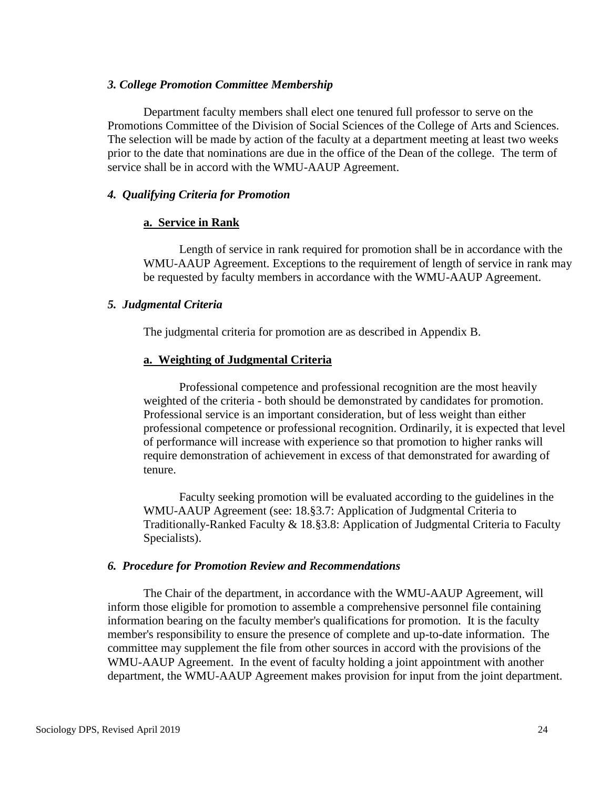#### *3. College Promotion Committee Membership*

Department faculty members shall elect one tenured full professor to serve on the Promotions Committee of the Division of Social Sciences of the College of Arts and Sciences. The selection will be made by action of the faculty at a department meeting at least two weeks prior to the date that nominations are due in the office of the Dean of the college. The term of service shall be in accord with the WMU-AAUP Agreement.

## *4. Qualifying Criteria for Promotion*

## **a. Service in Rank**

Length of service in rank required for promotion shall be in accordance with the WMU-AAUP Agreement. Exceptions to the requirement of length of service in rank may be requested by faculty members in accordance with the WMU-AAUP Agreement.

## *5. Judgmental Criteria*

The judgmental criteria for promotion are as described in Appendix B.

## **a. Weighting of Judgmental Criteria**

Professional competence and professional recognition are the most heavily weighted of the criteria - both should be demonstrated by candidates for promotion. Professional service is an important consideration, but of less weight than either professional competence or professional recognition. Ordinarily, it is expected that level of performance will increase with experience so that promotion to higher ranks will require demonstration of achievement in excess of that demonstrated for awarding of tenure.

Faculty seeking promotion will be evaluated according to the guidelines in the WMU-AAUP Agreement (see: 18.§3.7: Application of Judgmental Criteria to Traditionally-Ranked Faculty & 18.§3.8: Application of Judgmental Criteria to Faculty Specialists).

### *6. Procedure for Promotion Review and Recommendations*

The Chair of the department, in accordance with the WMU-AAUP Agreement, will inform those eligible for promotion to assemble a comprehensive personnel file containing information bearing on the faculty member's qualifications for promotion. It is the faculty member's responsibility to ensure the presence of complete and up-to-date information. The committee may supplement the file from other sources in accord with the provisions of the WMU-AAUP Agreement. In the event of faculty holding a joint appointment with another department, the WMU-AAUP Agreement makes provision for input from the joint department.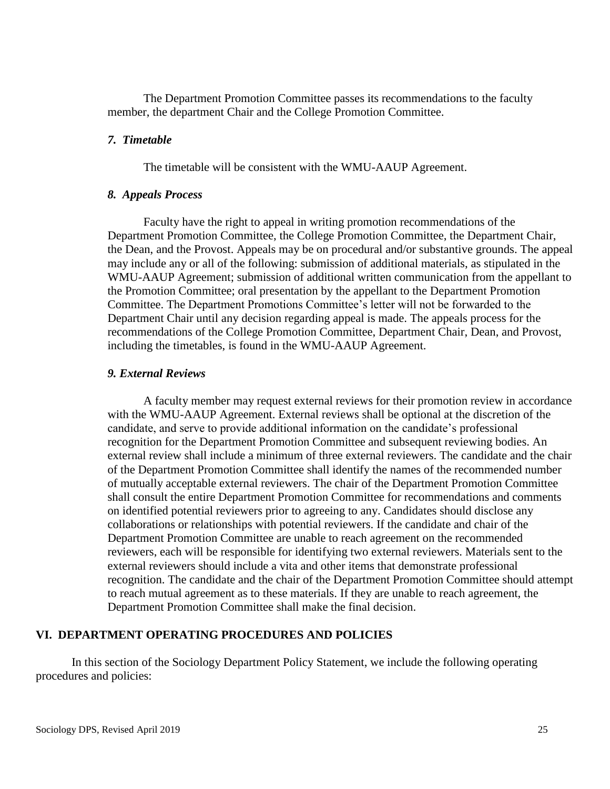The Department Promotion Committee passes its recommendations to the faculty member, the department Chair and the College Promotion Committee.

#### *7. Timetable*

The timetable will be consistent with the WMU-AAUP Agreement.

#### *8. Appeals Process*

Faculty have the right to appeal in writing promotion recommendations of the Department Promotion Committee, the College Promotion Committee, the Department Chair, the Dean, and the Provost. Appeals may be on procedural and/or substantive grounds. The appeal may include any or all of the following: submission of additional materials, as stipulated in the WMU-AAUP Agreement; submission of additional written communication from the appellant to the Promotion Committee; oral presentation by the appellant to the Department Promotion Committee. The Department Promotions Committee's letter will not be forwarded to the Department Chair until any decision regarding appeal is made. The appeals process for the recommendations of the College Promotion Committee, Department Chair, Dean, and Provost, including the timetables, is found in the WMU-AAUP Agreement.

#### *9. External Reviews*

A faculty member may request external reviews for their promotion review in accordance with the WMU-AAUP Agreement. External reviews shall be optional at the discretion of the candidate, and serve to provide additional information on the candidate's professional recognition for the Department Promotion Committee and subsequent reviewing bodies. An external review shall include a minimum of three external reviewers. The candidate and the chair of the Department Promotion Committee shall identify the names of the recommended number of mutually acceptable external reviewers. The chair of the Department Promotion Committee shall consult the entire Department Promotion Committee for recommendations and comments on identified potential reviewers prior to agreeing to any. Candidates should disclose any collaborations or relationships with potential reviewers. If the candidate and chair of the Department Promotion Committee are unable to reach agreement on the recommended reviewers, each will be responsible for identifying two external reviewers. Materials sent to the external reviewers should include a vita and other items that demonstrate professional recognition. The candidate and the chair of the Department Promotion Committee should attempt to reach mutual agreement as to these materials. If they are unable to reach agreement, the Department Promotion Committee shall make the final decision.

### **VI. DEPARTMENT OPERATING PROCEDURES AND POLICIES**

In this section of the Sociology Department Policy Statement, we include the following operating procedures and policies: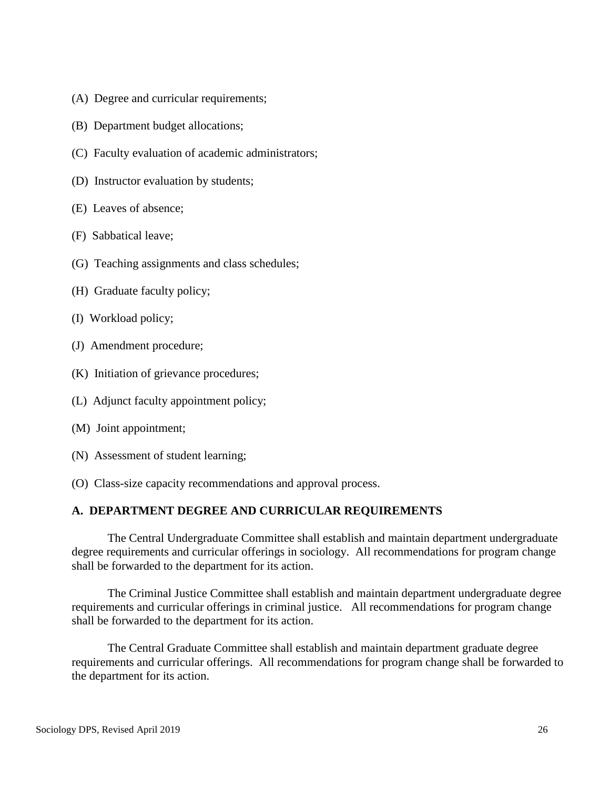- (A) Degree and curricular requirements;
- (B) Department budget allocations;
- (C) Faculty evaluation of academic administrators;
- (D) Instructor evaluation by students;
- (E) Leaves of absence;
- (F) Sabbatical leave;
- (G) Teaching assignments and class schedules;
- (H) Graduate faculty policy;
- (I) Workload policy;
- (J) Amendment procedure;
- (K) Initiation of grievance procedures;
- (L) Adjunct faculty appointment policy;
- (M) Joint appointment;
- (N) Assessment of student learning;
- (O) Class-size capacity recommendations and approval process.

## **A. DEPARTMENT DEGREE AND CURRICULAR REQUIREMENTS**

The Central Undergraduate Committee shall establish and maintain department undergraduate degree requirements and curricular offerings in sociology. All recommendations for program change shall be forwarded to the department for its action.

The Criminal Justice Committee shall establish and maintain department undergraduate degree requirements and curricular offerings in criminal justice. All recommendations for program change shall be forwarded to the department for its action.

The Central Graduate Committee shall establish and maintain department graduate degree requirements and curricular offerings. All recommendations for program change shall be forwarded to the department for its action.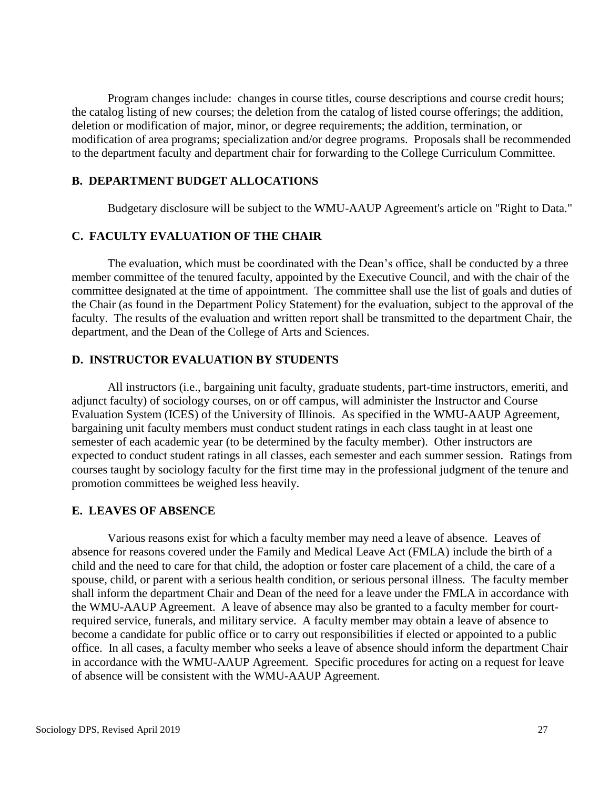Program changes include: changes in course titles, course descriptions and course credit hours; the catalog listing of new courses; the deletion from the catalog of listed course offerings; the addition, deletion or modification of major, minor, or degree requirements; the addition, termination, or modification of area programs; specialization and/or degree programs. Proposals shall be recommended to the department faculty and department chair for forwarding to the College Curriculum Committee.

## **B. DEPARTMENT BUDGET ALLOCATIONS**

Budgetary disclosure will be subject to the WMU-AAUP Agreement's article on "Right to Data."

## **C. FACULTY EVALUATION OF THE CHAIR**

The evaluation, which must be coordinated with the Dean's office, shall be conducted by a three member committee of the tenured faculty, appointed by the Executive Council, and with the chair of the committee designated at the time of appointment. The committee shall use the list of goals and duties of the Chair (as found in the Department Policy Statement) for the evaluation, subject to the approval of the faculty. The results of the evaluation and written report shall be transmitted to the department Chair, the department, and the Dean of the College of Arts and Sciences.

### **D. INSTRUCTOR EVALUATION BY STUDENTS**

All instructors (i.e., bargaining unit faculty, graduate students, part-time instructors, emeriti, and adjunct faculty) of sociology courses, on or off campus, will administer the Instructor and Course Evaluation System (ICES) of the University of Illinois. As specified in the WMU-AAUP Agreement, bargaining unit faculty members must conduct student ratings in each class taught in at least one semester of each academic year (to be determined by the faculty member). Other instructors are expected to conduct student ratings in all classes, each semester and each summer session. Ratings from courses taught by sociology faculty for the first time may in the professional judgment of the tenure and promotion committees be weighed less heavily.

#### **E. LEAVES OF ABSENCE**

Various reasons exist for which a faculty member may need a leave of absence. Leaves of absence for reasons covered under the Family and Medical Leave Act (FMLA) include the birth of a child and the need to care for that child, the adoption or foster care placement of a child, the care of a spouse, child, or parent with a serious health condition, or serious personal illness. The faculty member shall inform the department Chair and Dean of the need for a leave under the FMLA in accordance with the WMU-AAUP Agreement. A leave of absence may also be granted to a faculty member for courtrequired service, funerals, and military service. A faculty member may obtain a leave of absence to become a candidate for public office or to carry out responsibilities if elected or appointed to a public office. In all cases, a faculty member who seeks a leave of absence should inform the department Chair in accordance with the WMU-AAUP Agreement. Specific procedures for acting on a request for leave of absence will be consistent with the WMU-AAUP Agreement.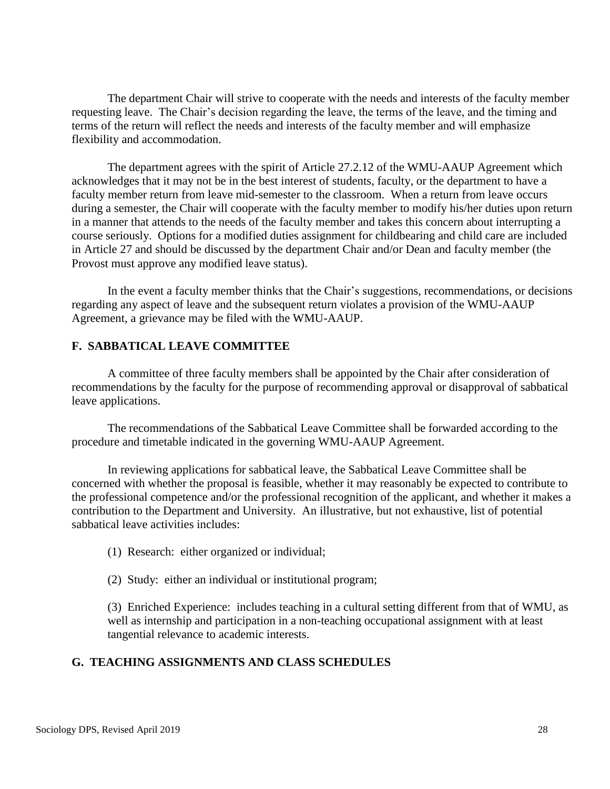The department Chair will strive to cooperate with the needs and interests of the faculty member requesting leave. The Chair's decision regarding the leave, the terms of the leave, and the timing and terms of the return will reflect the needs and interests of the faculty member and will emphasize flexibility and accommodation.

The department agrees with the spirit of Article 27.2.12 of the WMU-AAUP Agreement which acknowledges that it may not be in the best interest of students, faculty, or the department to have a faculty member return from leave mid-semester to the classroom. When a return from leave occurs during a semester, the Chair will cooperate with the faculty member to modify his/her duties upon return in a manner that attends to the needs of the faculty member and takes this concern about interrupting a course seriously. Options for a modified duties assignment for childbearing and child care are included in Article 27 and should be discussed by the department Chair and/or Dean and faculty member (the Provost must approve any modified leave status).

In the event a faculty member thinks that the Chair's suggestions, recommendations, or decisions regarding any aspect of leave and the subsequent return violates a provision of the WMU-AAUP Agreement, a grievance may be filed with the WMU-AAUP.

## **F. SABBATICAL LEAVE COMMITTEE**

A committee of three faculty members shall be appointed by the Chair after consideration of recommendations by the faculty for the purpose of recommending approval or disapproval of sabbatical leave applications.

The recommendations of the Sabbatical Leave Committee shall be forwarded according to the procedure and timetable indicated in the governing WMU-AAUP Agreement.

In reviewing applications for sabbatical leave, the Sabbatical Leave Committee shall be concerned with whether the proposal is feasible, whether it may reasonably be expected to contribute to the professional competence and/or the professional recognition of the applicant, and whether it makes a contribution to the Department and University. An illustrative, but not exhaustive, list of potential sabbatical leave activities includes:

- (1) Research: either organized or individual;
- (2) Study: either an individual or institutional program;

(3) Enriched Experience: includes teaching in a cultural setting different from that of WMU, as well as internship and participation in a non-teaching occupational assignment with at least tangential relevance to academic interests.

## **G. TEACHING ASSIGNMENTS AND CLASS SCHEDULES**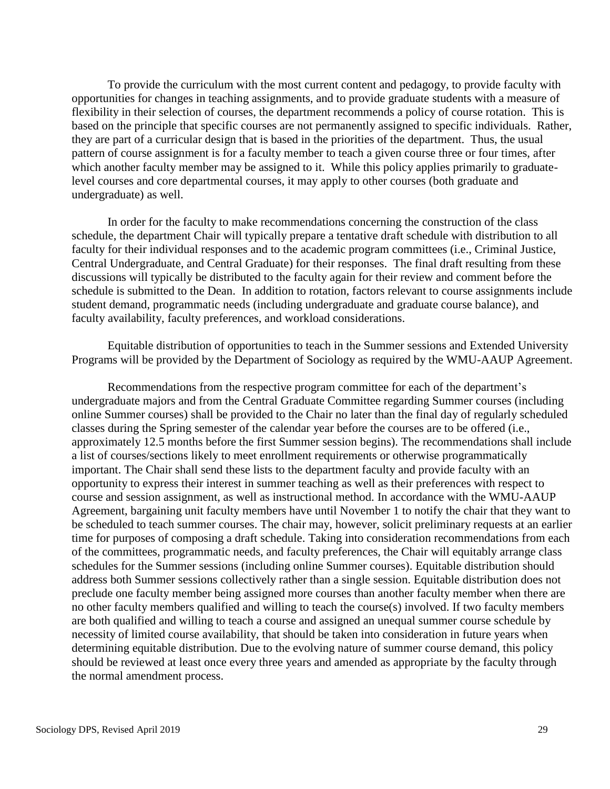To provide the curriculum with the most current content and pedagogy, to provide faculty with opportunities for changes in teaching assignments, and to provide graduate students with a measure of flexibility in their selection of courses, the department recommends a policy of course rotation. This is based on the principle that specific courses are not permanently assigned to specific individuals. Rather, they are part of a curricular design that is based in the priorities of the department. Thus, the usual pattern of course assignment is for a faculty member to teach a given course three or four times, after which another faculty member may be assigned to it. While this policy applies primarily to graduatelevel courses and core departmental courses, it may apply to other courses (both graduate and undergraduate) as well.

In order for the faculty to make recommendations concerning the construction of the class schedule, the department Chair will typically prepare a tentative draft schedule with distribution to all faculty for their individual responses and to the academic program committees (i.e., Criminal Justice, Central Undergraduate, and Central Graduate) for their responses. The final draft resulting from these discussions will typically be distributed to the faculty again for their review and comment before the schedule is submitted to the Dean. In addition to rotation, factors relevant to course assignments include student demand, programmatic needs (including undergraduate and graduate course balance), and faculty availability, faculty preferences, and workload considerations.

Equitable distribution of opportunities to teach in the Summer sessions and Extended University Programs will be provided by the Department of Sociology as required by the WMU-AAUP Agreement.

Recommendations from the respective program committee for each of the department's undergraduate majors and from the Central Graduate Committee regarding Summer courses (including online Summer courses) shall be provided to the Chair no later than the final day of regularly scheduled classes during the Spring semester of the calendar year before the courses are to be offered (i.e., approximately 12.5 months before the first Summer session begins). The recommendations shall include a list of courses/sections likely to meet enrollment requirements or otherwise programmatically important. The Chair shall send these lists to the department faculty and provide faculty with an opportunity to express their interest in summer teaching as well as their preferences with respect to course and session assignment, as well as instructional method. In accordance with the WMU-AAUP Agreement, bargaining unit faculty members have until November 1 to notify the chair that they want to be scheduled to teach summer courses. The chair may, however, solicit preliminary requests at an earlier time for purposes of composing a draft schedule. Taking into consideration recommendations from each of the committees, programmatic needs, and faculty preferences, the Chair will equitably arrange class schedules for the Summer sessions (including online Summer courses). Equitable distribution should address both Summer sessions collectively rather than a single session. Equitable distribution does not preclude one faculty member being assigned more courses than another faculty member when there are no other faculty members qualified and willing to teach the course(s) involved. If two faculty members are both qualified and willing to teach a course and assigned an unequal summer course schedule by necessity of limited course availability, that should be taken into consideration in future years when determining equitable distribution. Due to the evolving nature of summer course demand, this policy should be reviewed at least once every three years and amended as appropriate by the faculty through the normal amendment process.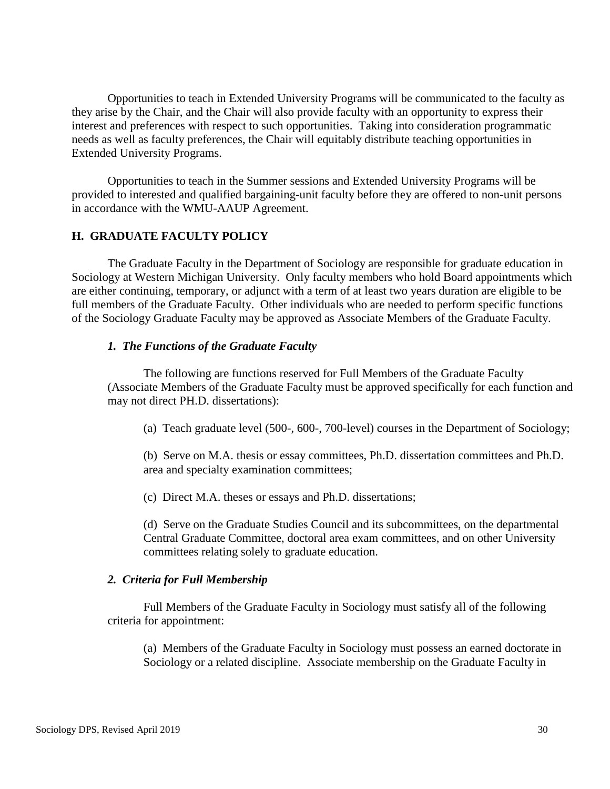Opportunities to teach in Extended University Programs will be communicated to the faculty as they arise by the Chair, and the Chair will also provide faculty with an opportunity to express their interest and preferences with respect to such opportunities. Taking into consideration programmatic needs as well as faculty preferences, the Chair will equitably distribute teaching opportunities in Extended University Programs.

Opportunities to teach in the Summer sessions and Extended University Programs will be provided to interested and qualified bargaining-unit faculty before they are offered to non-unit persons in accordance with the WMU-AAUP Agreement.

## **H. GRADUATE FACULTY POLICY**

The Graduate Faculty in the Department of Sociology are responsible for graduate education in Sociology at Western Michigan University. Only faculty members who hold Board appointments which are either continuing, temporary, or adjunct with a term of at least two years duration are eligible to be full members of the Graduate Faculty. Other individuals who are needed to perform specific functions of the Sociology Graduate Faculty may be approved as Associate Members of the Graduate Faculty.

### *1. The Functions of the Graduate Faculty*

The following are functions reserved for Full Members of the Graduate Faculty (Associate Members of the Graduate Faculty must be approved specifically for each function and may not direct PH.D. dissertations):

(a) Teach graduate level (500-, 600-, 700-level) courses in the Department of Sociology;

(b) Serve on M.A. thesis or essay committees, Ph.D. dissertation committees and Ph.D. area and specialty examination committees;

(c) Direct M.A. theses or essays and Ph.D. dissertations;

(d) Serve on the Graduate Studies Council and its subcommittees, on the departmental Central Graduate Committee, doctoral area exam committees, and on other University committees relating solely to graduate education.

### *2. Criteria for Full Membership*

Full Members of the Graduate Faculty in Sociology must satisfy all of the following criteria for appointment:

(a) Members of the Graduate Faculty in Sociology must possess an earned doctorate in Sociology or a related discipline. Associate membership on the Graduate Faculty in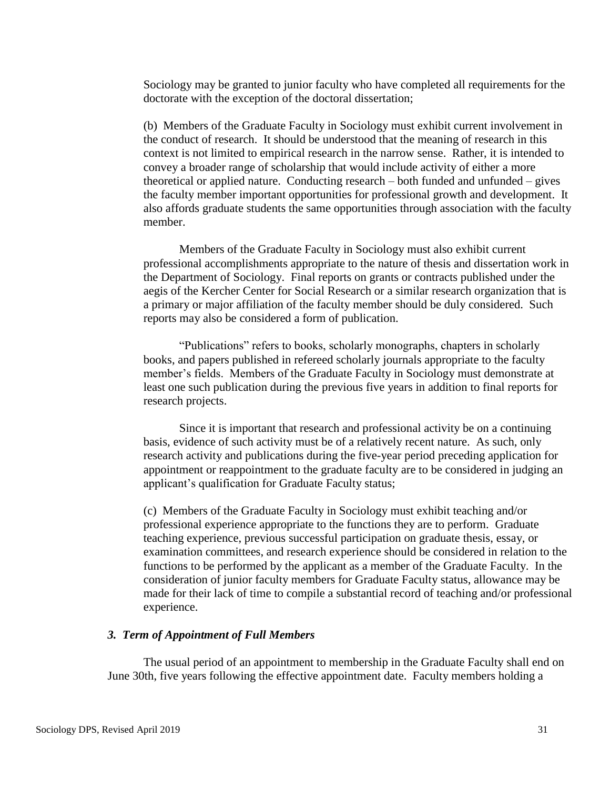Sociology may be granted to junior faculty who have completed all requirements for the doctorate with the exception of the doctoral dissertation;

(b) Members of the Graduate Faculty in Sociology must exhibit current involvement in the conduct of research. It should be understood that the meaning of research in this context is not limited to empirical research in the narrow sense. Rather, it is intended to convey a broader range of scholarship that would include activity of either a more theoretical or applied nature. Conducting research – both funded and unfunded – gives the faculty member important opportunities for professional growth and development. It also affords graduate students the same opportunities through association with the faculty member.

Members of the Graduate Faculty in Sociology must also exhibit current professional accomplishments appropriate to the nature of thesis and dissertation work in the Department of Sociology. Final reports on grants or contracts published under the aegis of the Kercher Center for Social Research or a similar research organization that is a primary or major affiliation of the faculty member should be duly considered. Such reports may also be considered a form of publication.

"Publications" refers to books, scholarly monographs, chapters in scholarly books, and papers published in refereed scholarly journals appropriate to the faculty member's fields. Members of the Graduate Faculty in Sociology must demonstrate at least one such publication during the previous five years in addition to final reports for research projects.

Since it is important that research and professional activity be on a continuing basis, evidence of such activity must be of a relatively recent nature. As such, only research activity and publications during the five-year period preceding application for appointment or reappointment to the graduate faculty are to be considered in judging an applicant's qualification for Graduate Faculty status;

(c) Members of the Graduate Faculty in Sociology must exhibit teaching and/or professional experience appropriate to the functions they are to perform. Graduate teaching experience, previous successful participation on graduate thesis, essay, or examination committees, and research experience should be considered in relation to the functions to be performed by the applicant as a member of the Graduate Faculty. In the consideration of junior faculty members for Graduate Faculty status, allowance may be made for their lack of time to compile a substantial record of teaching and/or professional experience.

## *3. Term of Appointment of Full Members*

The usual period of an appointment to membership in the Graduate Faculty shall end on June 30th, five years following the effective appointment date. Faculty members holding a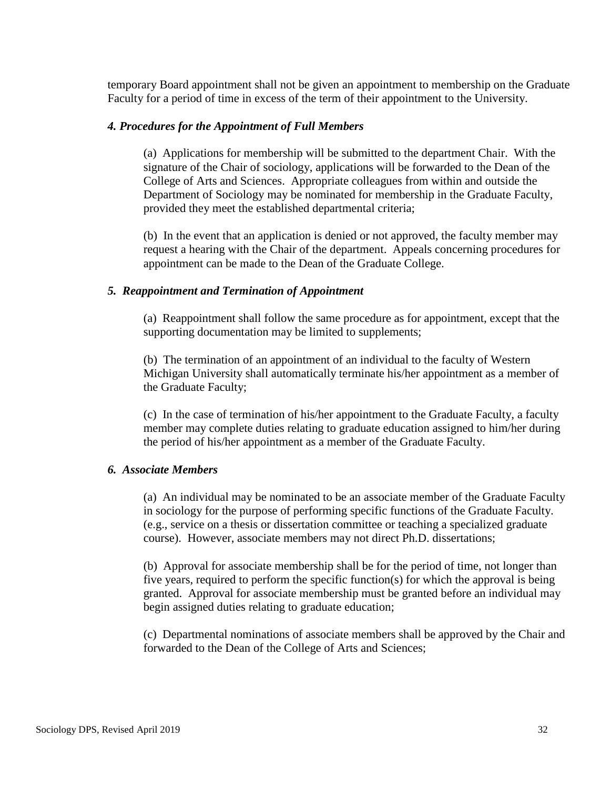temporary Board appointment shall not be given an appointment to membership on the Graduate Faculty for a period of time in excess of the term of their appointment to the University.

### *4. Procedures for the Appointment of Full Members*

(a) Applications for membership will be submitted to the department Chair. With the signature of the Chair of sociology, applications will be forwarded to the Dean of the College of Arts and Sciences. Appropriate colleagues from within and outside the Department of Sociology may be nominated for membership in the Graduate Faculty, provided they meet the established departmental criteria;

(b) In the event that an application is denied or not approved, the faculty member may request a hearing with the Chair of the department. Appeals concerning procedures for appointment can be made to the Dean of the Graduate College.

## *5. Reappointment and Termination of Appointment*

(a) Reappointment shall follow the same procedure as for appointment, except that the supporting documentation may be limited to supplements;

(b) The termination of an appointment of an individual to the faculty of Western Michigan University shall automatically terminate his/her appointment as a member of the Graduate Faculty;

(c) In the case of termination of his/her appointment to the Graduate Faculty, a faculty member may complete duties relating to graduate education assigned to him/her during the period of his/her appointment as a member of the Graduate Faculty.

### *6. Associate Members*

(a) An individual may be nominated to be an associate member of the Graduate Faculty in sociology for the purpose of performing specific functions of the Graduate Faculty. (e.g., service on a thesis or dissertation committee or teaching a specialized graduate course). However, associate members may not direct Ph.D. dissertations;

(b) Approval for associate membership shall be for the period of time, not longer than five years, required to perform the specific function(s) for which the approval is being granted. Approval for associate membership must be granted before an individual may begin assigned duties relating to graduate education;

(c) Departmental nominations of associate members shall be approved by the Chair and forwarded to the Dean of the College of Arts and Sciences;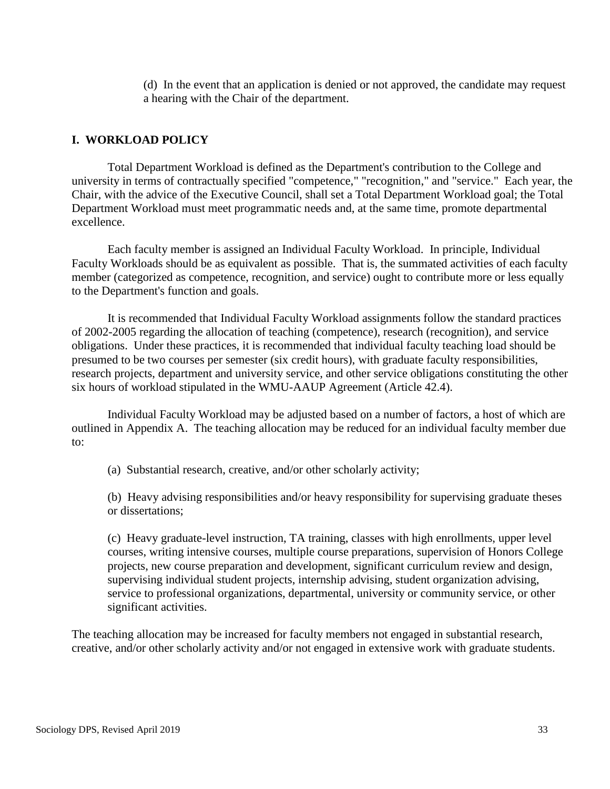(d) In the event that an application is denied or not approved, the candidate may request a hearing with the Chair of the department.

## **I. WORKLOAD POLICY**

Total Department Workload is defined as the Department's contribution to the College and university in terms of contractually specified "competence," "recognition," and "service." Each year, the Chair, with the advice of the Executive Council, shall set a Total Department Workload goal; the Total Department Workload must meet programmatic needs and, at the same time, promote departmental excellence.

Each faculty member is assigned an Individual Faculty Workload. In principle, Individual Faculty Workloads should be as equivalent as possible. That is, the summated activities of each faculty member (categorized as competence, recognition, and service) ought to contribute more or less equally to the Department's function and goals.

It is recommended that Individual Faculty Workload assignments follow the standard practices of 2002-2005 regarding the allocation of teaching (competence), research (recognition), and service obligations. Under these practices, it is recommended that individual faculty teaching load should be presumed to be two courses per semester (six credit hours), with graduate faculty responsibilities, research projects, department and university service, and other service obligations constituting the other six hours of workload stipulated in the WMU-AAUP Agreement (Article 42.4).

Individual Faculty Workload may be adjusted based on a number of factors, a host of which are outlined in Appendix A. The teaching allocation may be reduced for an individual faculty member due to:

(a) Substantial research, creative, and/or other scholarly activity;

(b) Heavy advising responsibilities and/or heavy responsibility for supervising graduate theses or dissertations;

(c) Heavy graduate-level instruction, TA training, classes with high enrollments, upper level courses, writing intensive courses, multiple course preparations, supervision of Honors College projects, new course preparation and development, significant curriculum review and design, supervising individual student projects, internship advising, student organization advising, service to professional organizations, departmental, university or community service, or other significant activities.

The teaching allocation may be increased for faculty members not engaged in substantial research, creative, and/or other scholarly activity and/or not engaged in extensive work with graduate students.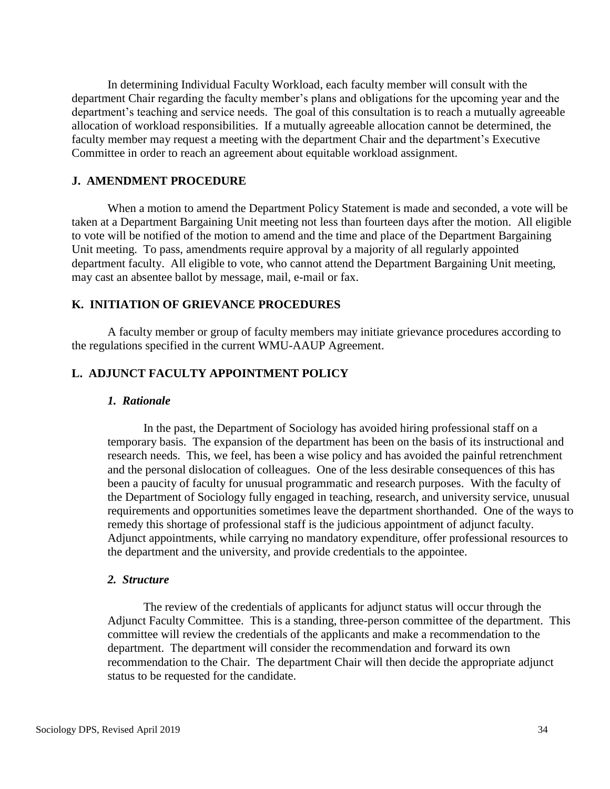In determining Individual Faculty Workload, each faculty member will consult with the department Chair regarding the faculty member's plans and obligations for the upcoming year and the department's teaching and service needs. The goal of this consultation is to reach a mutually agreeable allocation of workload responsibilities. If a mutually agreeable allocation cannot be determined, the faculty member may request a meeting with the department Chair and the department's Executive Committee in order to reach an agreement about equitable workload assignment.

## **J. AMENDMENT PROCEDURE**

When a motion to amend the Department Policy Statement is made and seconded, a vote will be taken at a Department Bargaining Unit meeting not less than fourteen days after the motion. All eligible to vote will be notified of the motion to amend and the time and place of the Department Bargaining Unit meeting. To pass, amendments require approval by a majority of all regularly appointed department faculty. All eligible to vote, who cannot attend the Department Bargaining Unit meeting, may cast an absentee ballot by message, mail, e-mail or fax.

### **K. INITIATION OF GRIEVANCE PROCEDURES**

A faculty member or group of faculty members may initiate grievance procedures according to the regulations specified in the current WMU-AAUP Agreement.

## **L. ADJUNCT FACULTY APPOINTMENT POLICY**

#### *1. Rationale*

In the past, the Department of Sociology has avoided hiring professional staff on a temporary basis. The expansion of the department has been on the basis of its instructional and research needs. This, we feel, has been a wise policy and has avoided the painful retrenchment and the personal dislocation of colleagues. One of the less desirable consequences of this has been a paucity of faculty for unusual programmatic and research purposes. With the faculty of the Department of Sociology fully engaged in teaching, research, and university service, unusual requirements and opportunities sometimes leave the department shorthanded. One of the ways to remedy this shortage of professional staff is the judicious appointment of adjunct faculty. Adjunct appointments, while carrying no mandatory expenditure, offer professional resources to the department and the university, and provide credentials to the appointee.

#### *2. Structure*

The review of the credentials of applicants for adjunct status will occur through the Adjunct Faculty Committee. This is a standing, three-person committee of the department. This committee will review the credentials of the applicants and make a recommendation to the department. The department will consider the recommendation and forward its own recommendation to the Chair. The department Chair will then decide the appropriate adjunct status to be requested for the candidate.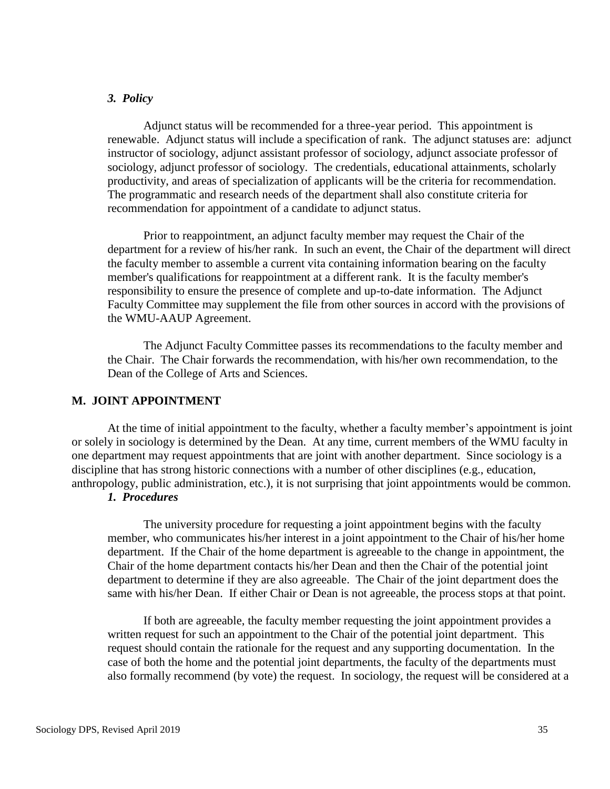### *3. Policy*

Adjunct status will be recommended for a three-year period. This appointment is renewable. Adjunct status will include a specification of rank. The adjunct statuses are: adjunct instructor of sociology, adjunct assistant professor of sociology, adjunct associate professor of sociology, adjunct professor of sociology. The credentials, educational attainments, scholarly productivity, and areas of specialization of applicants will be the criteria for recommendation. The programmatic and research needs of the department shall also constitute criteria for recommendation for appointment of a candidate to adjunct status.

Prior to reappointment, an adjunct faculty member may request the Chair of the department for a review of his/her rank. In such an event, the Chair of the department will direct the faculty member to assemble a current vita containing information bearing on the faculty member's qualifications for reappointment at a different rank. It is the faculty member's responsibility to ensure the presence of complete and up-to-date information. The Adjunct Faculty Committee may supplement the file from other sources in accord with the provisions of the WMU-AAUP Agreement.

The Adjunct Faculty Committee passes its recommendations to the faculty member and the Chair. The Chair forwards the recommendation, with his/her own recommendation, to the Dean of the College of Arts and Sciences.

#### **M. JOINT APPOINTMENT**

At the time of initial appointment to the faculty, whether a faculty member's appointment is joint or solely in sociology is determined by the Dean. At any time, current members of the WMU faculty in one department may request appointments that are joint with another department. Since sociology is a discipline that has strong historic connections with a number of other disciplines (e.g., education, anthropology, public administration, etc.), it is not surprising that joint appointments would be common.

## *1. Procedures*

The university procedure for requesting a joint appointment begins with the faculty member, who communicates his/her interest in a joint appointment to the Chair of his/her home department. If the Chair of the home department is agreeable to the change in appointment, the Chair of the home department contacts his/her Dean and then the Chair of the potential joint department to determine if they are also agreeable. The Chair of the joint department does the same with his/her Dean. If either Chair or Dean is not agreeable, the process stops at that point.

If both are agreeable, the faculty member requesting the joint appointment provides a written request for such an appointment to the Chair of the potential joint department. This request should contain the rationale for the request and any supporting documentation. In the case of both the home and the potential joint departments, the faculty of the departments must also formally recommend (by vote) the request. In sociology, the request will be considered at a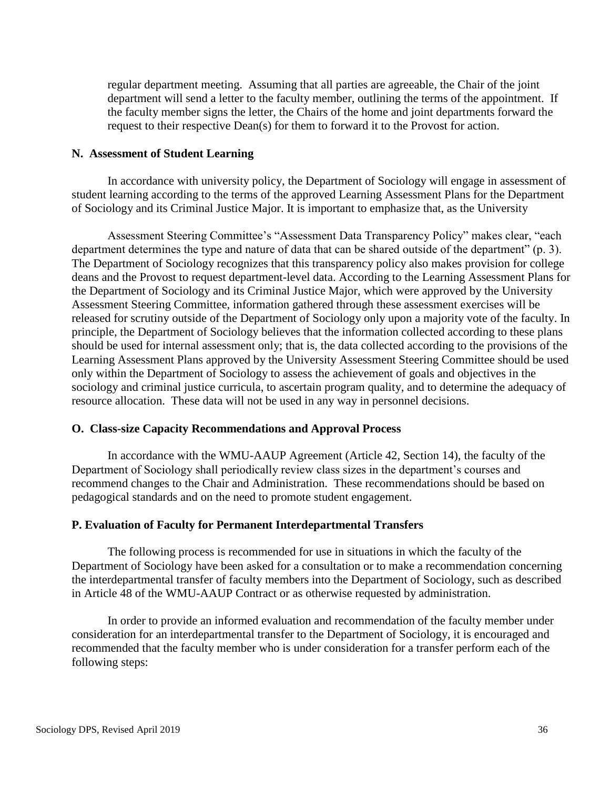regular department meeting. Assuming that all parties are agreeable, the Chair of the joint department will send a letter to the faculty member, outlining the terms of the appointment. If the faculty member signs the letter, the Chairs of the home and joint departments forward the request to their respective Dean(s) for them to forward it to the Provost for action.

## **N. Assessment of Student Learning**

In accordance with university policy, the Department of Sociology will engage in assessment of student learning according to the terms of the approved Learning Assessment Plans for the Department of Sociology and its Criminal Justice Major. It is important to emphasize that, as the University

Assessment Steering Committee's "Assessment Data Transparency Policy" makes clear, "each department determines the type and nature of data that can be shared outside of the department" (p. 3). The Department of Sociology recognizes that this transparency policy also makes provision for college deans and the Provost to request department-level data. According to the Learning Assessment Plans for the Department of Sociology and its Criminal Justice Major, which were approved by the University Assessment Steering Committee, information gathered through these assessment exercises will be released for scrutiny outside of the Department of Sociology only upon a majority vote of the faculty. In principle, the Department of Sociology believes that the information collected according to these plans should be used for internal assessment only; that is, the data collected according to the provisions of the Learning Assessment Plans approved by the University Assessment Steering Committee should be used only within the Department of Sociology to assess the achievement of goals and objectives in the sociology and criminal justice curricula, to ascertain program quality, and to determine the adequacy of resource allocation. These data will not be used in any way in personnel decisions.

## **O. Class-size Capacity Recommendations and Approval Process**

In accordance with the WMU-AAUP Agreement (Article 42, Section 14), the faculty of the Department of Sociology shall periodically review class sizes in the department's courses and recommend changes to the Chair and Administration. These recommendations should be based on pedagogical standards and on the need to promote student engagement.

## **P. Evaluation of Faculty for Permanent Interdepartmental Transfers**

The following process is recommended for use in situations in which the faculty of the Department of Sociology have been asked for a consultation or to make a recommendation concerning the interdepartmental transfer of faculty members into the Department of Sociology, such as described in Article 48 of the WMU-AAUP Contract or as otherwise requested by administration.

In order to provide an informed evaluation and recommendation of the faculty member under consideration for an interdepartmental transfer to the Department of Sociology, it is encouraged and recommended that the faculty member who is under consideration for a transfer perform each of the following steps: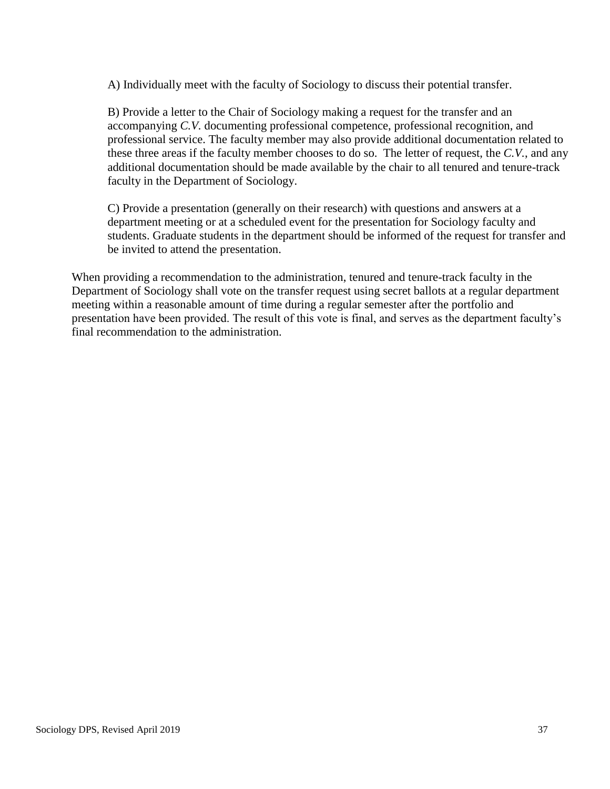A) Individually meet with the faculty of Sociology to discuss their potential transfer.

B) Provide a letter to the Chair of Sociology making a request for the transfer and an accompanying *C.V.* documenting professional competence, professional recognition, and professional service. The faculty member may also provide additional documentation related to these three areas if the faculty member chooses to do so. The letter of request, the *C.V.*, and any additional documentation should be made available by the chair to all tenured and tenure-track faculty in the Department of Sociology.

C) Provide a presentation (generally on their research) with questions and answers at a department meeting or at a scheduled event for the presentation for Sociology faculty and students. Graduate students in the department should be informed of the request for transfer and be invited to attend the presentation.

When providing a recommendation to the administration, tenured and tenure-track faculty in the Department of Sociology shall vote on the transfer request using secret ballots at a regular department meeting within a reasonable amount of time during a regular semester after the portfolio and presentation have been provided. The result of this vote is final, and serves as the department faculty's final recommendation to the administration.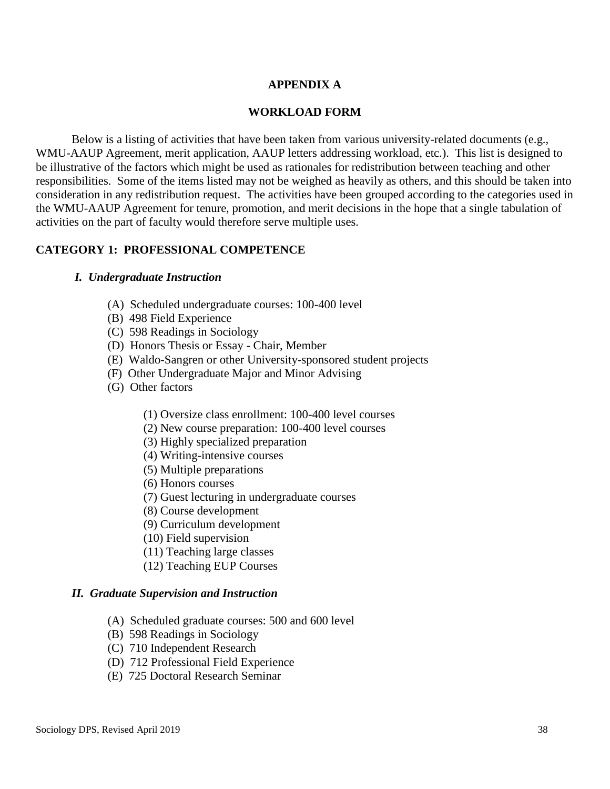## **APPENDIX A**

## **WORKLOAD FORM**

Below is a listing of activities that have been taken from various university-related documents (e.g., WMU-AAUP Agreement, merit application, AAUP letters addressing workload, etc.). This list is designed to be illustrative of the factors which might be used as rationales for redistribution between teaching and other responsibilities. Some of the items listed may not be weighed as heavily as others, and this should be taken into consideration in any redistribution request. The activities have been grouped according to the categories used in the WMU-AAUP Agreement for tenure, promotion, and merit decisions in the hope that a single tabulation of activities on the part of faculty would therefore serve multiple uses.

## **CATEGORY 1: PROFESSIONAL COMPETENCE**

### *I. Undergraduate Instruction*

- (A) Scheduled undergraduate courses: 100-400 level
- (B) 498 Field Experience
- (C) 598 Readings in Sociology
- (D) Honors Thesis or Essay Chair, Member
- (E) Waldo-Sangren or other University-sponsored student projects
- (F) Other Undergraduate Major and Minor Advising
- (G) Other factors
	- (1) Oversize class enrollment: 100-400 level courses
	- (2) New course preparation: 100-400 level courses
	- (3) Highly specialized preparation
	- (4) Writing-intensive courses
	- (5) Multiple preparations
	- (6) Honors courses
	- (7) Guest lecturing in undergraduate courses
	- (8) Course development
	- (9) Curriculum development
	- (10) Field supervision
	- (11) Teaching large classes
	- (12) Teaching EUP Courses

### *II. Graduate Supervision and Instruction*

- (A) Scheduled graduate courses: 500 and 600 level
- (B) 598 Readings in Sociology
- (C) 710 Independent Research
- (D) 712 Professional Field Experience
- (E) 725 Doctoral Research Seminar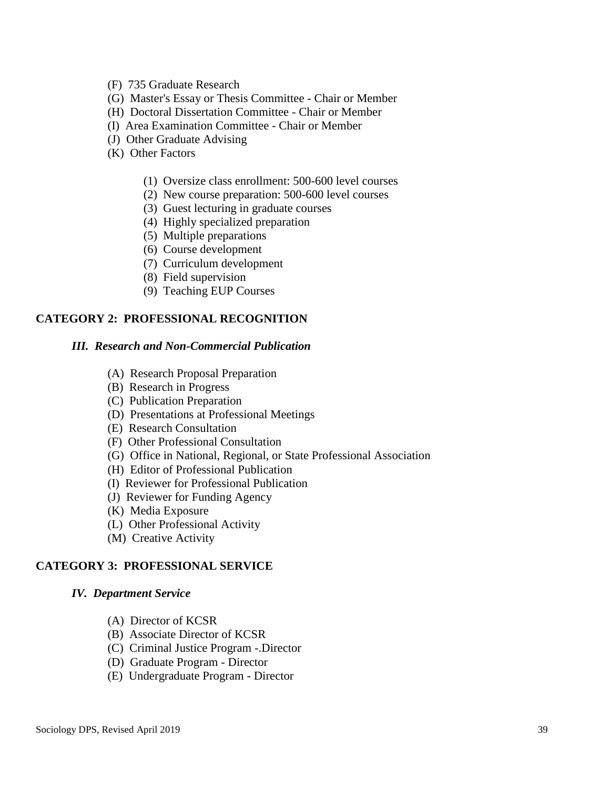- (F) 735 Graduate Research
- (G) Master's Essay or Thesis Committee Chair or Member
- (H) Doctoral Dissertation Committee Chair or Member
- (I) Area Examination Committee Chair or Member
- (J) Other Graduate Advising
- (K) Other Factors
	- (1) Oversize class enrollment: 500-600 level courses
	- (2) New course preparation: 500-600 level courses
	- (3) Guest lecturing in graduate courses
	- (4) Highly specialized preparation
	- (5) Multiple preparations
	- (6) Course development
	- (7) Curriculum development
	- (8) Field supervision
	- (9) Teaching EUP Courses

## **CATEGORY 2: PROFESSIONAL RECOGNITION**

## *III. Research and Non-Commercial Publication*

- (A) Research Proposal Preparation
- (B) Research in Progress
- (C) Publication Preparation
- (D) Presentations at Professional Meetings
- (E) Research Consultation
- (F) Other Professional Consultation
- (G) Office in National, Regional, or State Professional Association
- (H) Editor of Professional Publication
- (I) Reviewer for Professional Publication
- (J) Reviewer for Funding Agency
- (K) Media Exposure
- (L) Other Professional Activity
- (M) Creative Activity

## **CATEGORY 3: PROFESSIONAL SERVICE**

### *IV. Department Service*

- (A) Director of KCSR
- (B) Associate Director of KCSR
- (C) Criminal Justice Program -.Director
- (D) Graduate Program Director
- (E) Undergraduate Program Director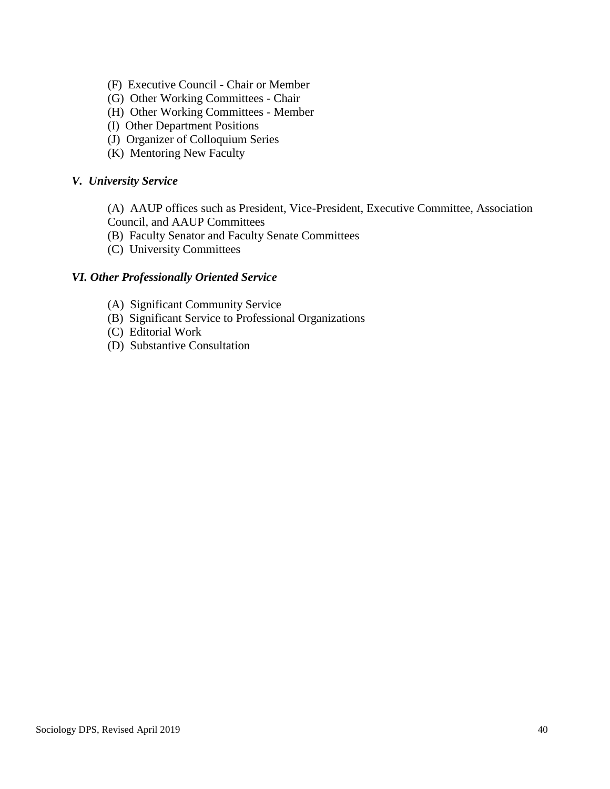- (F) Executive Council Chair or Member
- (G) Other Working Committees Chair
- (H) Other Working Committees Member
- (I) Other Department Positions
- (J) Organizer of Colloquium Series
- (K) Mentoring New Faculty

## *V. University Service*

- (A) AAUP offices such as President, Vice-President, Executive Committee, Association Council, and AAUP Committees
- (B) Faculty Senator and Faculty Senate Committees
- (C) University Committees

## *VI. Other Professionally Oriented Service*

- (A) Significant Community Service
- (B) Significant Service to Professional Organizations
- (C) Editorial Work
- (D) Substantive Consultation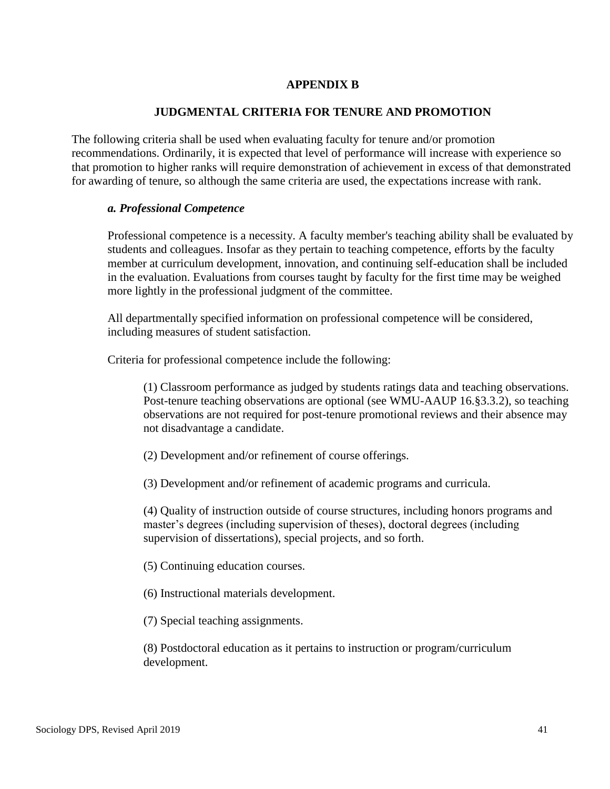## **APPENDIX B**

## **JUDGMENTAL CRITERIA FOR TENURE AND PROMOTION**

The following criteria shall be used when evaluating faculty for tenure and/or promotion recommendations. Ordinarily, it is expected that level of performance will increase with experience so that promotion to higher ranks will require demonstration of achievement in excess of that demonstrated for awarding of tenure, so although the same criteria are used, the expectations increase with rank.

## *a. Professional Competence*

Professional competence is a necessity. A faculty member's teaching ability shall be evaluated by students and colleagues. Insofar as they pertain to teaching competence, efforts by the faculty member at curriculum development, innovation, and continuing self-education shall be included in the evaluation. Evaluations from courses taught by faculty for the first time may be weighed more lightly in the professional judgment of the committee.

All departmentally specified information on professional competence will be considered, including measures of student satisfaction.

Criteria for professional competence include the following:

(1) Classroom performance as judged by students ratings data and teaching observations. Post-tenure teaching observations are optional (see WMU-AAUP 16.§3.3.2), so teaching observations are not required for post-tenure promotional reviews and their absence may not disadvantage a candidate.

- (2) Development and/or refinement of course offerings.
- (3) Development and/or refinement of academic programs and curricula.

(4) Quality of instruction outside of course structures, including honors programs and master's degrees (including supervision of theses), doctoral degrees (including supervision of dissertations), special projects, and so forth.

(5) Continuing education courses.

(6) Instructional materials development.

(7) Special teaching assignments.

(8) Postdoctoral education as it pertains to instruction or program/curriculum development.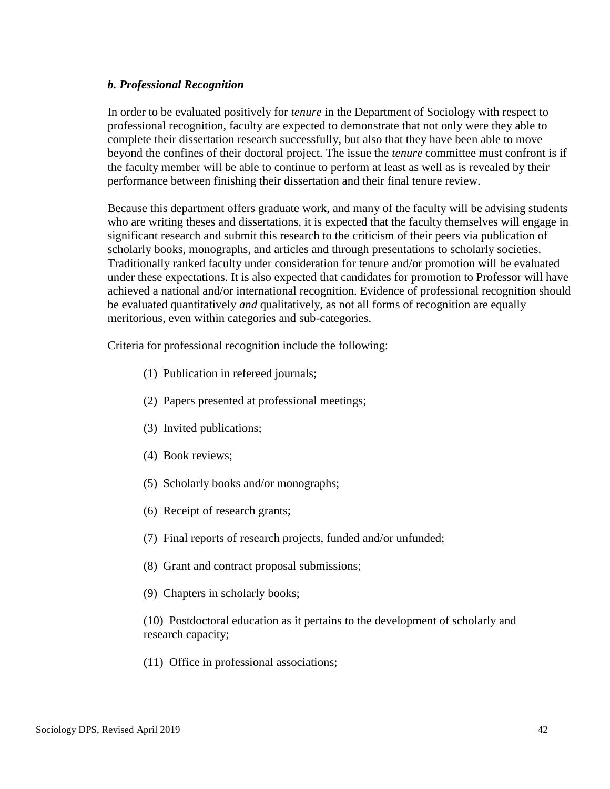## *b. Professional Recognition*

In order to be evaluated positively for *tenure* in the Department of Sociology with respect to professional recognition, faculty are expected to demonstrate that not only were they able to complete their dissertation research successfully, but also that they have been able to move beyond the confines of their doctoral project. The issue the *tenure* committee must confront is if the faculty member will be able to continue to perform at least as well as is revealed by their performance between finishing their dissertation and their final tenure review.

Because this department offers graduate work, and many of the faculty will be advising students who are writing theses and dissertations, it is expected that the faculty themselves will engage in significant research and submit this research to the criticism of their peers via publication of scholarly books, monographs, and articles and through presentations to scholarly societies. Traditionally ranked faculty under consideration for tenure and/or promotion will be evaluated under these expectations. It is also expected that candidates for promotion to Professor will have achieved a national and/or international recognition. Evidence of professional recognition should be evaluated quantitatively *and* qualitatively, as not all forms of recognition are equally meritorious, even within categories and sub-categories.

Criteria for professional recognition include the following:

- (1) Publication in refereed journals;
- (2) Papers presented at professional meetings;
- (3) Invited publications;
- (4) Book reviews;
- (5) Scholarly books and/or monographs;
- (6) Receipt of research grants;
- (7) Final reports of research projects, funded and/or unfunded;
- (8) Grant and contract proposal submissions;
- (9) Chapters in scholarly books;

(10) Postdoctoral education as it pertains to the development of scholarly and research capacity;

(11) Office in professional associations;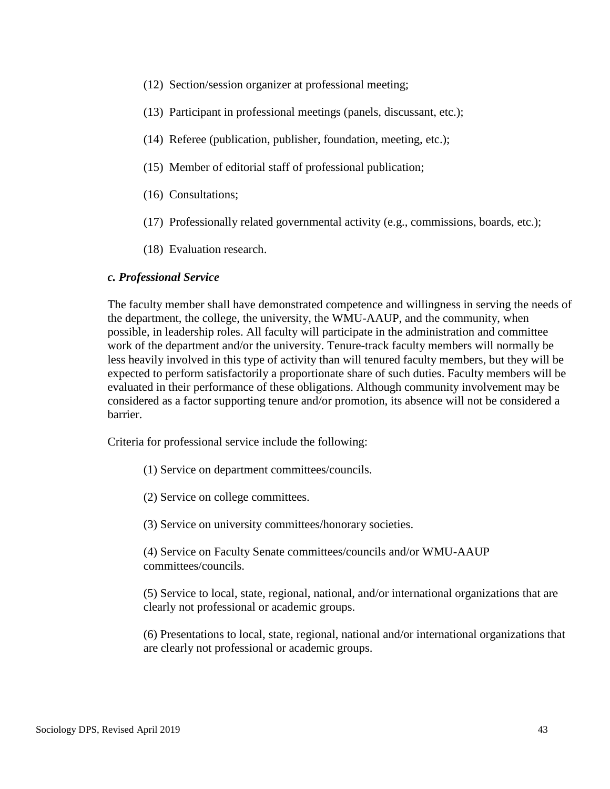- (12) Section/session organizer at professional meeting;
- (13) Participant in professional meetings (panels, discussant, etc.);
- (14) Referee (publication, publisher, foundation, meeting, etc.);
- (15) Member of editorial staff of professional publication;
- (16) Consultations;
- (17) Professionally related governmental activity (e.g., commissions, boards, etc.);
- (18) Evaluation research.

## *c. Professional Service*

The faculty member shall have demonstrated competence and willingness in serving the needs of the department, the college, the university, the WMU-AAUP, and the community, when possible, in leadership roles. All faculty will participate in the administration and committee work of the department and/or the university. Tenure-track faculty members will normally be less heavily involved in this type of activity than will tenured faculty members, but they will be expected to perform satisfactorily a proportionate share of such duties. Faculty members will be evaluated in their performance of these obligations. Although community involvement may be considered as a factor supporting tenure and/or promotion, its absence will not be considered a barrier.

Criteria for professional service include the following:

- (1) Service on department committees/councils.
- (2) Service on college committees.
- (3) Service on university committees/honorary societies.
- (4) Service on Faculty Senate committees/councils and/or WMU-AAUP committees/councils.

(5) Service to local, state, regional, national, and/or international organizations that are clearly not professional or academic groups.

(6) Presentations to local, state, regional, national and/or international organizations that are clearly not professional or academic groups.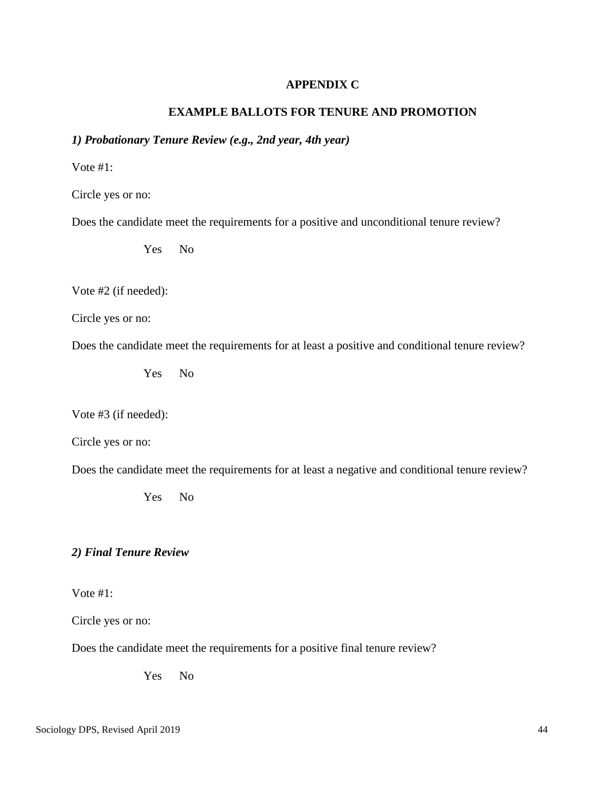## **APPENDIX C**

## **EXAMPLE BALLOTS FOR TENURE AND PROMOTION**

# *1) Probationary Tenure Review (e.g., 2nd year, 4th year)*

Vote #1:

Circle yes or no:

Does the candidate meet the requirements for a positive and unconditional tenure review?

Yes No

Vote #2 (if needed):

Circle yes or no:

Does the candidate meet the requirements for at least a positive and conditional tenure review?

Yes No

Vote #3 (if needed):

Circle yes or no:

Does the candidate meet the requirements for at least a negative and conditional tenure review?

Yes No

## *2) Final Tenure Review*

Vote #1:

Circle yes or no:

Does the candidate meet the requirements for a positive final tenure review?

Yes No